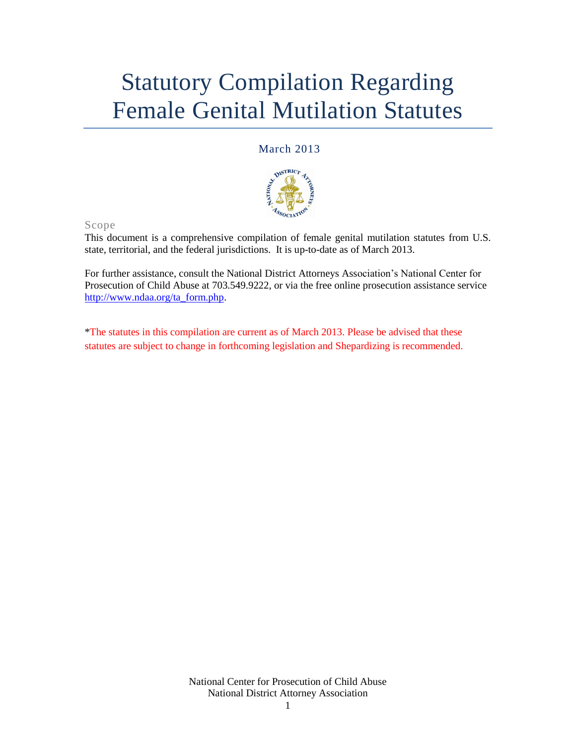# Statutory Compilation Regarding Female Genital Mutilation Statutes

### March 2013



Scope

This document is a comprehensive compilation of female genital mutilation statutes from U.S. state, territorial, and the federal jurisdictions. It is up-to-date as of March 2013.

For further assistance, consult the National District Attorneys Association's National Center for Prosecution of Child Abuse at 703.549.9222, or via the free online prosecution assistance service [http://www.ndaa.org/ta\\_form.php.](http://www.ndaa.org/ta_form.php)

\*The statutes in this compilation are current as of March 2013. Please be advised that these statutes are subject to change in forthcoming legislation and Shepardizing is recommended.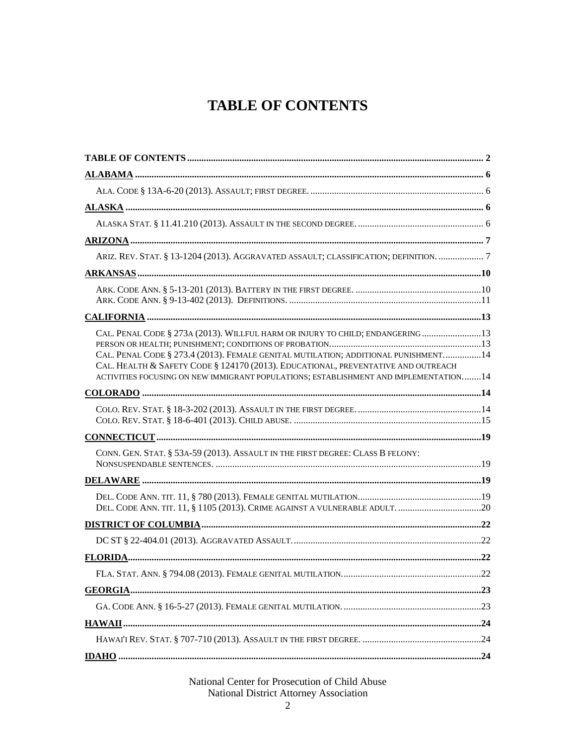# **TABLE OF CONTENTS**

| ARIZ. REV. STAT. § 13-1204 (2013). AGGRAVATED ASSAULT; CLASSIFICATION; DEFINITION. 7                                                                                                                                                                                                                                                                |  |
|-----------------------------------------------------------------------------------------------------------------------------------------------------------------------------------------------------------------------------------------------------------------------------------------------------------------------------------------------------|--|
|                                                                                                                                                                                                                                                                                                                                                     |  |
|                                                                                                                                                                                                                                                                                                                                                     |  |
|                                                                                                                                                                                                                                                                                                                                                     |  |
| CAL. PENAL CODE § 273A (2013). WILLFUL HARM OR INJURY TO CHILD; ENDANGERING  13<br>CAL. PENAL CODE § 273.4 (2013). FEMALE GENITAL MUTILATION; ADDITIONAL PUNISHMENT 14<br>CAL. HEALTH & SAFETY CODE § 124170 (2013). EDUCATIONAL, PREVENTATIVE AND OUTREACH<br>ACTIVITIES FOCUSING ON NEW IMMIGRANT POPULATIONS; ESTABLISHMENT AND IMPLEMENTATION14 |  |
|                                                                                                                                                                                                                                                                                                                                                     |  |
|                                                                                                                                                                                                                                                                                                                                                     |  |
|                                                                                                                                                                                                                                                                                                                                                     |  |
| CONN. GEN. STAT. § 53A-59 (2013). ASSAULT IN THE FIRST DEGREE: CLASS B FELONY:                                                                                                                                                                                                                                                                      |  |
|                                                                                                                                                                                                                                                                                                                                                     |  |
|                                                                                                                                                                                                                                                                                                                                                     |  |
|                                                                                                                                                                                                                                                                                                                                                     |  |
|                                                                                                                                                                                                                                                                                                                                                     |  |
|                                                                                                                                                                                                                                                                                                                                                     |  |
|                                                                                                                                                                                                                                                                                                                                                     |  |
|                                                                                                                                                                                                                                                                                                                                                     |  |
|                                                                                                                                                                                                                                                                                                                                                     |  |
|                                                                                                                                                                                                                                                                                                                                                     |  |
|                                                                                                                                                                                                                                                                                                                                                     |  |
|                                                                                                                                                                                                                                                                                                                                                     |  |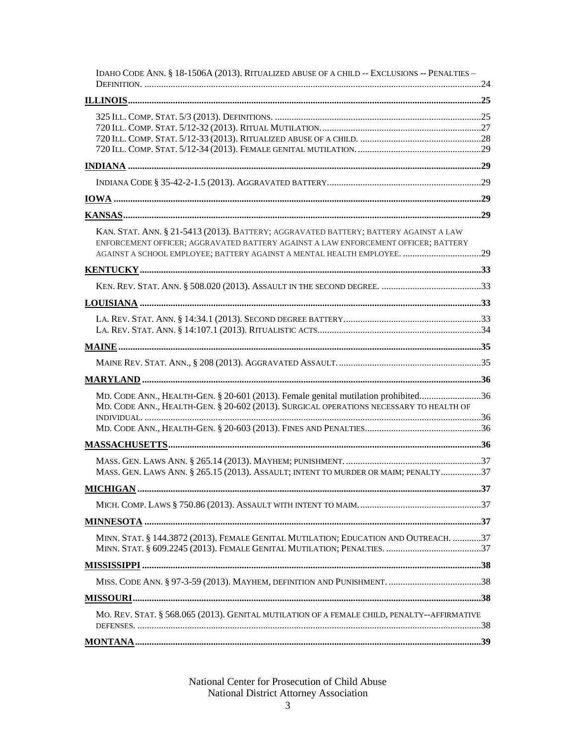| IDAHO CODE ANN. § 18-1506A (2013). RITUALIZED ABUSE OF A CHILD -- EXCLUSIONS -- PENALTIES -                                                                                                                                                           |     |
|-------------------------------------------------------------------------------------------------------------------------------------------------------------------------------------------------------------------------------------------------------|-----|
|                                                                                                                                                                                                                                                       |     |
|                                                                                                                                                                                                                                                       |     |
|                                                                                                                                                                                                                                                       |     |
|                                                                                                                                                                                                                                                       |     |
|                                                                                                                                                                                                                                                       |     |
|                                                                                                                                                                                                                                                       |     |
|                                                                                                                                                                                                                                                       |     |
|                                                                                                                                                                                                                                                       |     |
|                                                                                                                                                                                                                                                       |     |
| KAN. STAT. ANN. § 21-5413 (2013). BATTERY; AGGRAVATED BATTERY; BATTERY AGAINST A LAW<br>ENFORCEMENT OFFICER; AGGRAVATED BATTERY AGAINST A LAW ENFORCEMENT OFFICER; BATTERY<br>AGAINST A SCHOOL EMPLOYEE; BATTERY AGAINST A MENTAL HEALTH EMPLOYEE. 29 |     |
|                                                                                                                                                                                                                                                       |     |
|                                                                                                                                                                                                                                                       |     |
|                                                                                                                                                                                                                                                       |     |
|                                                                                                                                                                                                                                                       |     |
|                                                                                                                                                                                                                                                       |     |
|                                                                                                                                                                                                                                                       |     |
|                                                                                                                                                                                                                                                       |     |
| $\underline{\text{MARYLAND}}\text{}{\text{}}\dots\text{}{\text{}}\dots\text{}{\text{}}\dots\text{}{\text{}}\dots\text{}{\text{}}\dots\text{}{\text{}}\dots\text{}{\text{}}\dots\text{}}36$                                                            |     |
| MD. CODE ANN., HEALTH-GEN. § 20-601 (2013). Female genital mutilation prohibited36<br>MD. CODE ANN., HEALTH-GEN. § 20-602 (2013). SURGICAL OPERATIONS NECESSARY TO HEALTH OF                                                                          |     |
|                                                                                                                                                                                                                                                       |     |
|                                                                                                                                                                                                                                                       |     |
|                                                                                                                                                                                                                                                       |     |
|                                                                                                                                                                                                                                                       |     |
| MASS. GEN. LAWS ANN. § 265.15 (2013). ASSAULT; INTENT TO MURDER OR MAIM; PENALTY37                                                                                                                                                                    |     |
| MICHIGAN.                                                                                                                                                                                                                                             | .37 |
|                                                                                                                                                                                                                                                       |     |
|                                                                                                                                                                                                                                                       |     |
| MINN. STAT. § 144.3872 (2013). FEMALE GENITAL MUTILATION; EDUCATION AND OUTREACH. 37                                                                                                                                                                  |     |
|                                                                                                                                                                                                                                                       |     |
|                                                                                                                                                                                                                                                       |     |
|                                                                                                                                                                                                                                                       |     |
| MO. REV. STAT. § 568.065 (2013). GENITAL MUTILATION OF A FEMALE CHILD, PENALTY--AFFIRMATIVE                                                                                                                                                           |     |
|                                                                                                                                                                                                                                                       |     |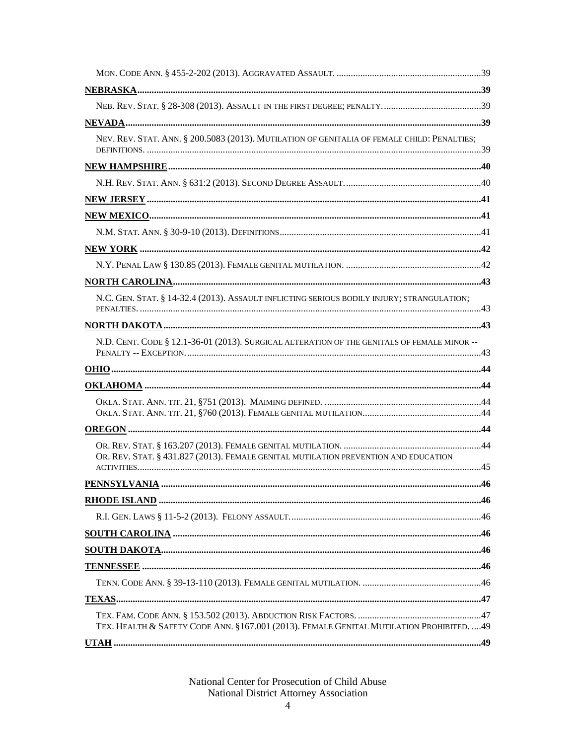| NEV. REV. STAT. ANN. § 200.5083 (2013). MUTILATION OF GENITALIA OF FEMALE CHILD: PENALTIES; |  |
|---------------------------------------------------------------------------------------------|--|
|                                                                                             |  |
|                                                                                             |  |
|                                                                                             |  |
|                                                                                             |  |
|                                                                                             |  |
|                                                                                             |  |
|                                                                                             |  |
|                                                                                             |  |
| N.C. GEN. STAT. § 14-32.4 (2013). ASSAULT INFLICTING SERIOUS BODILY INJURY; STRANGULATION;  |  |
|                                                                                             |  |
| N.D. CENT. CODE § 12.1-36-01 (2013). SURGICAL ALTERATION OF THE GENITALS OF FEMALE MINOR -- |  |
|                                                                                             |  |
|                                                                                             |  |
|                                                                                             |  |
|                                                                                             |  |
| OR. REV. STAT. § 431.827 (2013). FEMALE GENITAL MUTILATION PREVENTION AND EDUCATION         |  |
|                                                                                             |  |
|                                                                                             |  |
|                                                                                             |  |
|                                                                                             |  |
|                                                                                             |  |
|                                                                                             |  |
|                                                                                             |  |
|                                                                                             |  |
|                                                                                             |  |
| TEX. HEALTH & SAFETY CODE ANN. §167.001 (2013). FEMALE GENITAL MUTILATION PROHIBITED.  49   |  |
|                                                                                             |  |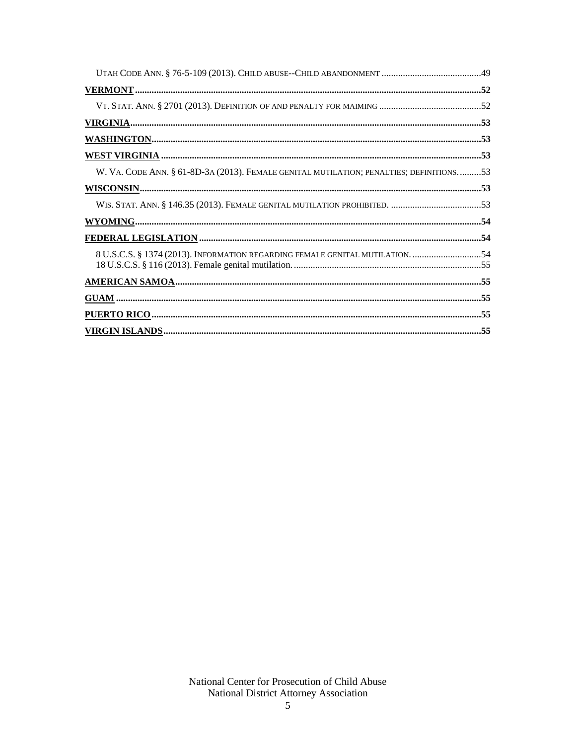| W. VA. CODE ANN. § 61-8D-3A (2013). FEMALE GENITAL MUTILATION; PENALTIES; DEFINITIONS53 |  |
|-----------------------------------------------------------------------------------------|--|
|                                                                                         |  |
|                                                                                         |  |
|                                                                                         |  |
|                                                                                         |  |
| 8 U.S.C.S. § 1374 (2013). INFORMATION REGARDING FEMALE GENITAL MUTILATION. 54           |  |
|                                                                                         |  |
|                                                                                         |  |
|                                                                                         |  |
|                                                                                         |  |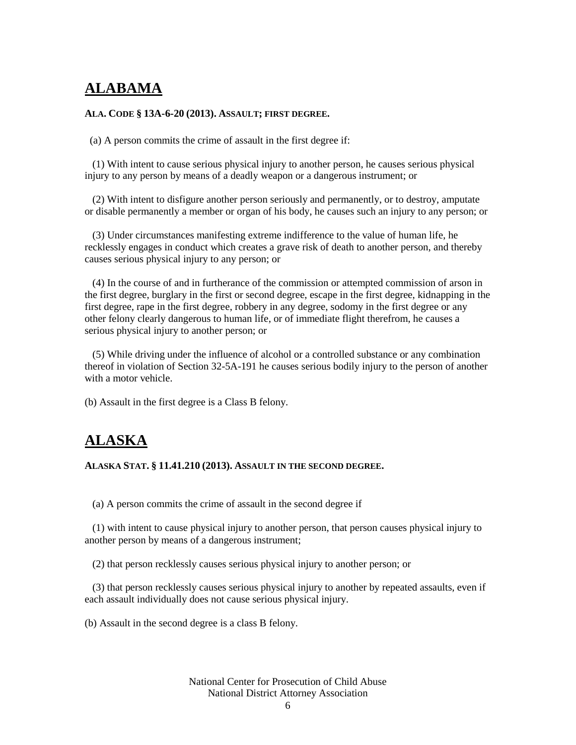### **ALABAMA**

#### **ALA. CODE § 13A-6-20 (2013). ASSAULT; FIRST DEGREE.**

(a) A person commits the crime of assault in the first degree if:

 (1) With intent to cause serious physical injury to another person, he causes serious physical injury to any person by means of a deadly weapon or a dangerous instrument; or

 (2) With intent to disfigure another person seriously and permanently, or to destroy, amputate or disable permanently a member or organ of his body, he causes such an injury to any person; or

 (3) Under circumstances manifesting extreme indifference to the value of human life, he recklessly engages in conduct which creates a grave risk of death to another person, and thereby causes serious physical injury to any person; or

 (4) In the course of and in furtherance of the commission or attempted commission of arson in the first degree, burglary in the first or second degree, escape in the first degree, kidnapping in the first degree, rape in the first degree, robbery in any degree, sodomy in the first degree or any other felony clearly dangerous to human life, or of immediate flight therefrom, he causes a serious physical injury to another person; or

 (5) While driving under the influence of alcohol or a controlled substance or any combination thereof in violation of Section 32-5A-191 he causes serious bodily injury to the person of another with a motor vehicle.

(b) Assault in the first degree is a Class B felony.

### **ALASKA**

**ALASKA STAT. § 11.41.210 (2013). ASSAULT IN THE SECOND DEGREE.**

(a) A person commits the crime of assault in the second degree if

 (1) with intent to cause physical injury to another person, that person causes physical injury to another person by means of a dangerous instrument;

(2) that person recklessly causes serious physical injury to another person; or

 (3) that person recklessly causes serious physical injury to another by repeated assaults, even if each assault individually does not cause serious physical injury.

(b) Assault in the second degree is a class B felony.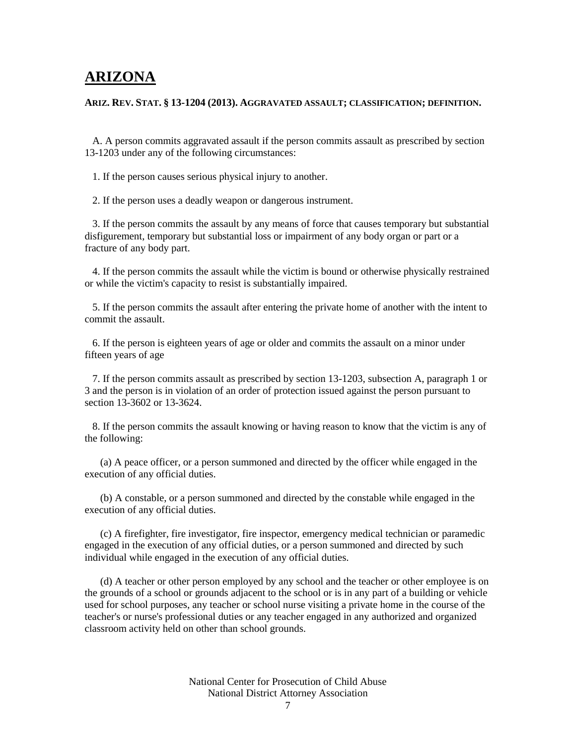### **ARIZONA**

#### **ARIZ. REV. STAT. § 13-1204 (2013). AGGRAVATED ASSAULT; CLASSIFICATION; DEFINITION.**

 A. A person commits aggravated assault if the person commits assault as prescribed by section 13-1203 under any of the following circumstances:

1. If the person causes serious physical injury to another.

2. If the person uses a deadly weapon or dangerous instrument.

 3. If the person commits the assault by any means of force that causes temporary but substantial disfigurement, temporary but substantial loss or impairment of any body organ or part or a fracture of any body part.

 4. If the person commits the assault while the victim is bound or otherwise physically restrained or while the victim's capacity to resist is substantially impaired.

 5. If the person commits the assault after entering the private home of another with the intent to commit the assault.

 6. If the person is eighteen years of age or older and commits the assault on a minor under fifteen years of age

 7. If the person commits assault as prescribed by section 13-1203, subsection A, paragraph 1 or 3 and the person is in violation of an order of protection issued against the person pursuant to section 13-3602 or 13-3624.

 8. If the person commits the assault knowing or having reason to know that the victim is any of the following:

 (a) A peace officer, or a person summoned and directed by the officer while engaged in the execution of any official duties.

 (b) A constable, or a person summoned and directed by the constable while engaged in the execution of any official duties.

 (c) A firefighter, fire investigator, fire inspector, emergency medical technician or paramedic engaged in the execution of any official duties, or a person summoned and directed by such individual while engaged in the execution of any official duties.

 (d) A teacher or other person employed by any school and the teacher or other employee is on the grounds of a school or grounds adjacent to the school or is in any part of a building or vehicle used for school purposes, any teacher or school nurse visiting a private home in the course of the teacher's or nurse's professional duties or any teacher engaged in any authorized and organized classroom activity held on other than school grounds.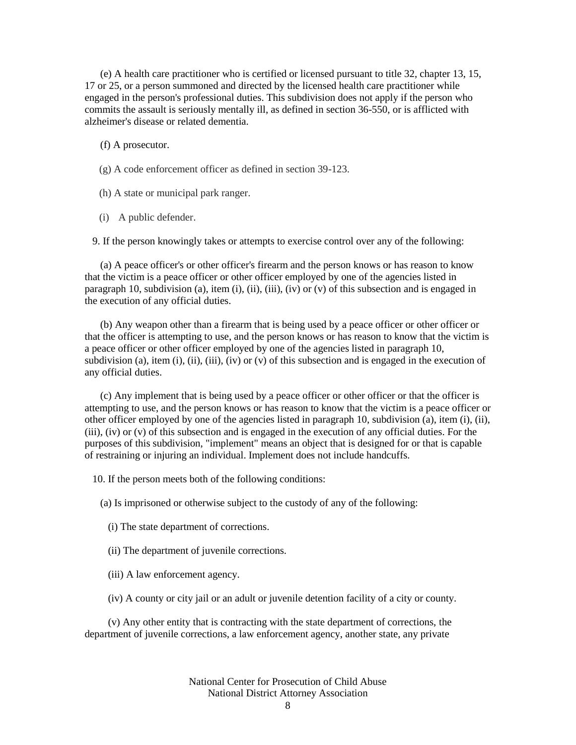(e) A health care practitioner who is certified or licensed pursuant to title 32, chapter 13, 15, 17 or 25, or a person summoned and directed by the licensed health care practitioner while engaged in the person's professional duties. This subdivision does not apply if the person who commits the assault is seriously mentally ill, as defined in section 36-550, or is afflicted with alzheimer's disease or related dementia.

#### (f) A prosecutor.

- (g) A code enforcement officer as defined in section 39-123.
- (h) A state or municipal park ranger.
- (i) A public defender.

9. If the person knowingly takes or attempts to exercise control over any of the following:

 (a) A peace officer's or other officer's firearm and the person knows or has reason to know that the victim is a peace officer or other officer employed by one of the agencies listed in paragraph 10, subdivision (a), item (i), (ii), (iii), (iv) or (v) of this subsection and is engaged in the execution of any official duties.

 (b) Any weapon other than a firearm that is being used by a peace officer or other officer or that the officer is attempting to use, and the person knows or has reason to know that the victim is a peace officer or other officer employed by one of the agencies listed in paragraph 10, subdivision (a), item (i), (ii), (iii), (iv) or (v) of this subsection and is engaged in the execution of any official duties.

 (c) Any implement that is being used by a peace officer or other officer or that the officer is attempting to use, and the person knows or has reason to know that the victim is a peace officer or other officer employed by one of the agencies listed in paragraph 10, subdivision (a), item (i), (ii), (iii), (iv) or (v) of this subsection and is engaged in the execution of any official duties. For the purposes of this subdivision, "implement" means an object that is designed for or that is capable of restraining or injuring an individual. Implement does not include handcuffs.

10. If the person meets both of the following conditions:

(a) Is imprisoned or otherwise subject to the custody of any of the following:

- (i) The state department of corrections.
- (ii) The department of juvenile corrections.
- (iii) A law enforcement agency.
- (iv) A county or city jail or an adult or juvenile detention facility of a city or county.

 (v) Any other entity that is contracting with the state department of corrections, the department of juvenile corrections, a law enforcement agency, another state, any private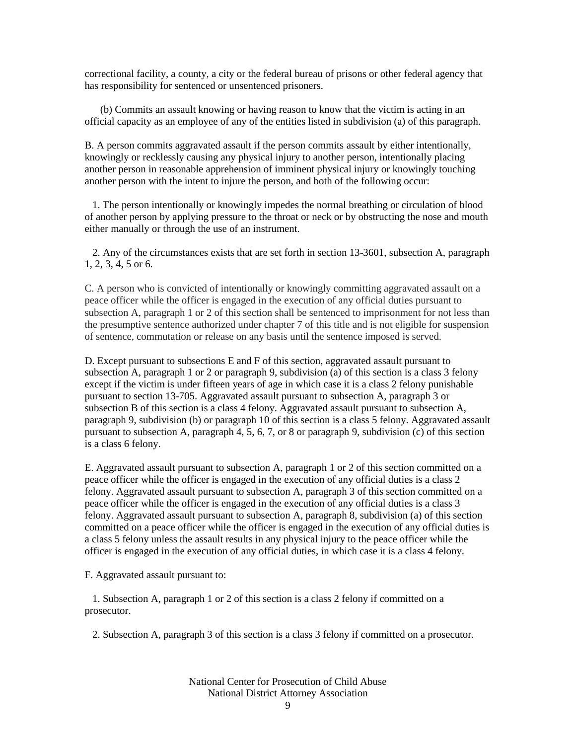correctional facility, a county, a city or the federal bureau of prisons or other federal agency that has responsibility for sentenced or unsentenced prisoners.

 (b) Commits an assault knowing or having reason to know that the victim is acting in an official capacity as an employee of any of the entities listed in subdivision (a) of this paragraph.

B. A person commits aggravated assault if the person commits assault by either intentionally, knowingly or recklessly causing any physical injury to another person, intentionally placing another person in reasonable apprehension of imminent physical injury or knowingly touching another person with the intent to injure the person, and both of the following occur:

 1. The person intentionally or knowingly impedes the normal breathing or circulation of blood of another person by applying pressure to the throat or neck or by obstructing the nose and mouth either manually or through the use of an instrument.

 2. Any of the circumstances exists that are set forth in section 13-3601, subsection A, paragraph 1, 2, 3, 4, 5 or 6.

C. A person who is convicted of intentionally or knowingly committing aggravated assault on a peace officer while the officer is engaged in the execution of any official duties pursuant to subsection A, paragraph 1 or 2 of this section shall be sentenced to imprisonment for not less than the presumptive sentence authorized under chapter 7 of this title and is not eligible for suspension of sentence, commutation or release on any basis until the sentence imposed is served.

D. Except pursuant to subsections E and F of this section, aggravated assault pursuant to subsection A, paragraph 1 or 2 or paragraph 9, subdivision (a) of this section is a class 3 felony except if the victim is under fifteen years of age in which case it is a class 2 felony punishable pursuant to section 13-705. Aggravated assault pursuant to subsection A, paragraph 3 or subsection B of this section is a class 4 felony. Aggravated assault pursuant to subsection A, paragraph 9, subdivision (b) or paragraph 10 of this section is a class 5 felony. Aggravated assault pursuant to subsection A, paragraph 4, 5, 6, 7, or 8 or paragraph 9, subdivision (c) of this section is a class 6 felony.

E. Aggravated assault pursuant to subsection A, paragraph 1 or 2 of this section committed on a peace officer while the officer is engaged in the execution of any official duties is a class 2 felony. Aggravated assault pursuant to subsection A, paragraph 3 of this section committed on a peace officer while the officer is engaged in the execution of any official duties is a class 3 felony. Aggravated assault pursuant to subsection A, paragraph 8, subdivision (a) of this section committed on a peace officer while the officer is engaged in the execution of any official duties is a class 5 felony unless the assault results in any physical injury to the peace officer while the officer is engaged in the execution of any official duties, in which case it is a class 4 felony.

F. Aggravated assault pursuant to:

 1. Subsection A, paragraph 1 or 2 of this section is a class 2 felony if committed on a prosecutor.

2. Subsection A, paragraph 3 of this section is a class 3 felony if committed on a prosecutor.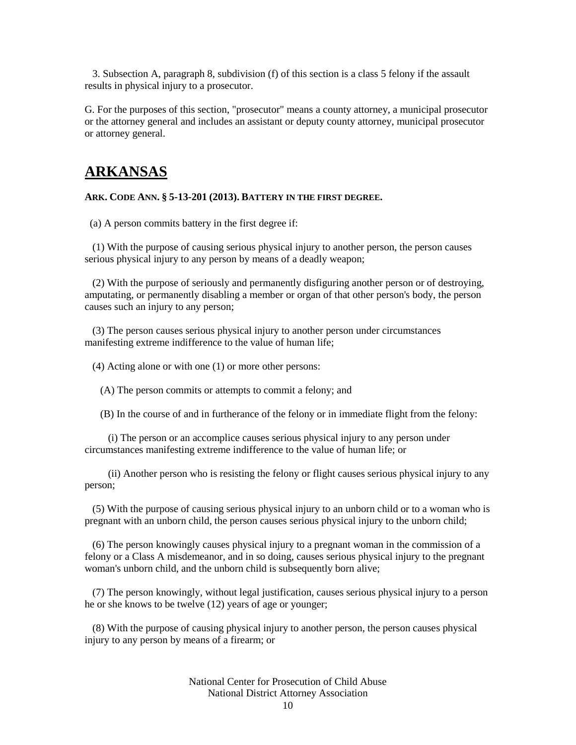3. Subsection A, paragraph 8, subdivision (f) of this section is a class 5 felony if the assault results in physical injury to a prosecutor.

G. For the purposes of this section, "prosecutor" means a county attorney, a municipal prosecutor or the attorney general and includes an assistant or deputy county attorney, municipal prosecutor or attorney general.

### **ARKANSAS**

#### **ARK. CODE ANN. § 5-13-201 (2013). BATTERY IN THE FIRST DEGREE.**

(a) A person commits battery in the first degree if:

 (1) With the purpose of causing serious physical injury to another person, the person causes serious physical injury to any person by means of a deadly weapon;

 (2) With the purpose of seriously and permanently disfiguring another person or of destroying, amputating, or permanently disabling a member or organ of that other person's body, the person causes such an injury to any person;

 (3) The person causes serious physical injury to another person under circumstances manifesting extreme indifference to the value of human life;

(4) Acting alone or with one (1) or more other persons:

(A) The person commits or attempts to commit a felony; and

(B) In the course of and in furtherance of the felony or in immediate flight from the felony:

 (i) The person or an accomplice causes serious physical injury to any person under circumstances manifesting extreme indifference to the value of human life; or

 (ii) Another person who is resisting the felony or flight causes serious physical injury to any person;

 (5) With the purpose of causing serious physical injury to an unborn child or to a woman who is pregnant with an unborn child, the person causes serious physical injury to the unborn child;

 (6) The person knowingly causes physical injury to a pregnant woman in the commission of a felony or a Class A misdemeanor, and in so doing, causes serious physical injury to the pregnant woman's unborn child, and the unborn child is subsequently born alive;

 (7) The person knowingly, without legal justification, causes serious physical injury to a person he or she knows to be twelve (12) years of age or younger;

 (8) With the purpose of causing physical injury to another person, the person causes physical injury to any person by means of a firearm; or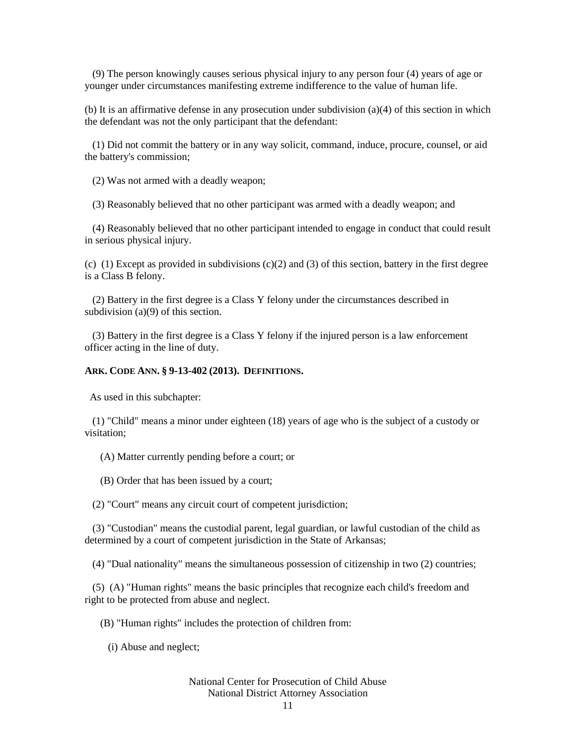(9) The person knowingly causes serious physical injury to any person four (4) years of age or younger under circumstances manifesting extreme indifference to the value of human life.

(b) It is an affirmative defense in any prosecution under subdivision (a)(4) of this section in which the defendant was not the only participant that the defendant:

 (1) Did not commit the battery or in any way solicit, command, induce, procure, counsel, or aid the battery's commission;

(2) Was not armed with a deadly weapon;

(3) Reasonably believed that no other participant was armed with a deadly weapon; and

 (4) Reasonably believed that no other participant intended to engage in conduct that could result in serious physical injury.

(c) (1) Except as provided in subdivisions (c)(2) and (3) of this section, battery in the first degree is a Class B felony.

 (2) Battery in the first degree is a Class Y felony under the circumstances described in subdivision (a)(9) of this section.

 (3) Battery in the first degree is a Class Y felony if the injured person is a law enforcement officer acting in the line of duty.

#### **ARK. CODE ANN. § 9-13-402 (2013). DEFINITIONS.**

As used in this subchapter:

 (1) "Child" means a minor under eighteen (18) years of age who is the subject of a custody or visitation;

(A) Matter currently pending before a court; or

(B) Order that has been issued by a court;

(2) "Court" means any circuit court of competent jurisdiction;

 (3) "Custodian" means the custodial parent, legal guardian, or lawful custodian of the child as determined by a court of competent jurisdiction in the State of Arkansas;

(4) "Dual nationality" means the simultaneous possession of citizenship in two (2) countries;

 (5) (A) "Human rights" means the basic principles that recognize each child's freedom and right to be protected from abuse and neglect.

(B) "Human rights" includes the protection of children from:

(i) Abuse and neglect;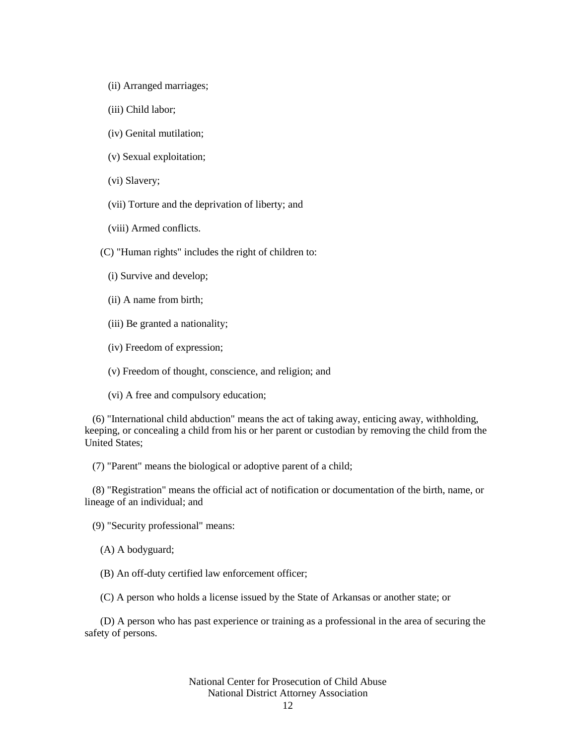- (ii) Arranged marriages;
- (iii) Child labor;
- (iv) Genital mutilation;
- (v) Sexual exploitation;
- (vi) Slavery;
- (vii) Torture and the deprivation of liberty; and
- (viii) Armed conflicts.

(C) "Human rights" includes the right of children to:

- (i) Survive and develop;
- (ii) A name from birth;
- (iii) Be granted a nationality;
- (iv) Freedom of expression;
- (v) Freedom of thought, conscience, and religion; and
- (vi) A free and compulsory education;

 (6) "International child abduction" means the act of taking away, enticing away, withholding, keeping, or concealing a child from his or her parent or custodian by removing the child from the United States;

(7) "Parent" means the biological or adoptive parent of a child;

 (8) "Registration" means the official act of notification or documentation of the birth, name, or lineage of an individual; and

(9) "Security professional" means:

(A) A bodyguard;

(B) An off-duty certified law enforcement officer;

(C) A person who holds a license issued by the State of Arkansas or another state; or

 (D) A person who has past experience or training as a professional in the area of securing the safety of persons.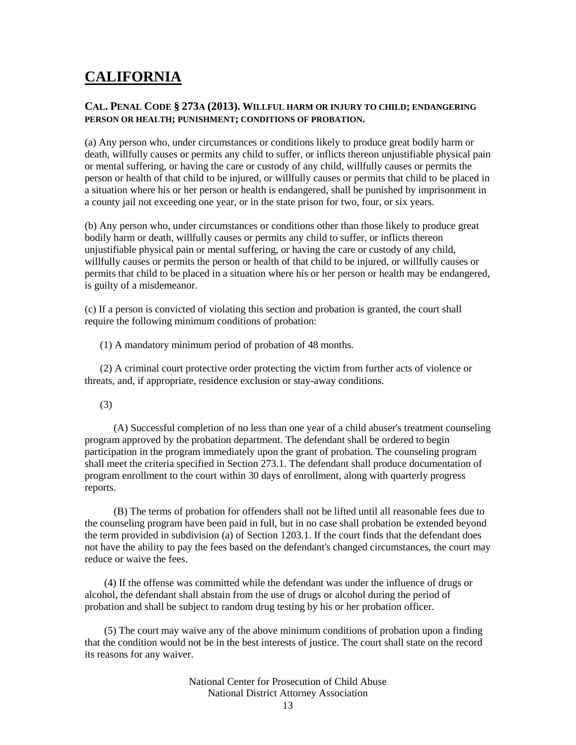# **CALIFORNIA**

### **CAL. PENAL CODE § 273A (2013). WILLFUL HARM OR INJURY TO CHILD; ENDANGERING PERSON OR HEALTH; PUNISHMENT; CONDITIONS OF PROBATION.**

(a) Any person who, under circumstances or conditions likely to produce great bodily harm or death, willfully causes or permits any child to suffer, or inflicts thereon unjustifiable physical pain or mental suffering, or having the care or custody of any child, willfully causes or permits the person or health of that child to be injured, or willfully causes or permits that child to be placed in a situation where his or her person or health is endangered, shall be punished by imprisonment in a county jail not exceeding one year, or in the state prison for two, four, or six years.

(b) Any person who, under circumstances or conditions other than those likely to produce great bodily harm or death, willfully causes or permits any child to suffer, or inflicts thereon unjustifiable physical pain or mental suffering, or having the care or custody of any child, willfully causes or permits the person or health of that child to be injured, or willfully causes or permits that child to be placed in a situation where his or her person or health may be endangered, is guilty of a misdemeanor.

(c) If a person is convicted of violating this section and probation is granted, the court shall require the following minimum conditions of probation:

(1) A mandatory minimum period of probation of 48 months.

(2) A criminal court protective order protecting the victim from further acts of violence or threats, and, if appropriate, residence exclusion or stay-away conditions.

(3)

 (A) Successful completion of no less than one year of a child abuser's treatment counseling program approved by the probation department. The defendant shall be ordered to begin participation in the program immediately upon the grant of probation. The counseling program shall meet the criteria specified in Section 273.1. The defendant shall produce documentation of program enrollment to the court within 30 days of enrollment, along with quarterly progress reports.

 (B) The terms of probation for offenders shall not be lifted until all reasonable fees due to the counseling program have been paid in full, but in no case shall probation be extended beyond the term provided in subdivision (a) of Section 1203.1. If the court finds that the defendant does not have the ability to pay the fees based on the defendant's changed circumstances, the court may reduce or waive the fees.

(4) If the offense was committed while the defendant was under the influence of drugs or alcohol, the defendant shall abstain from the use of drugs or alcohol during the period of probation and shall be subject to random drug testing by his or her probation officer.

(5) The court may waive any of the above minimum conditions of probation upon a finding that the condition would not be in the best interests of justice. The court shall state on the record its reasons for any waiver.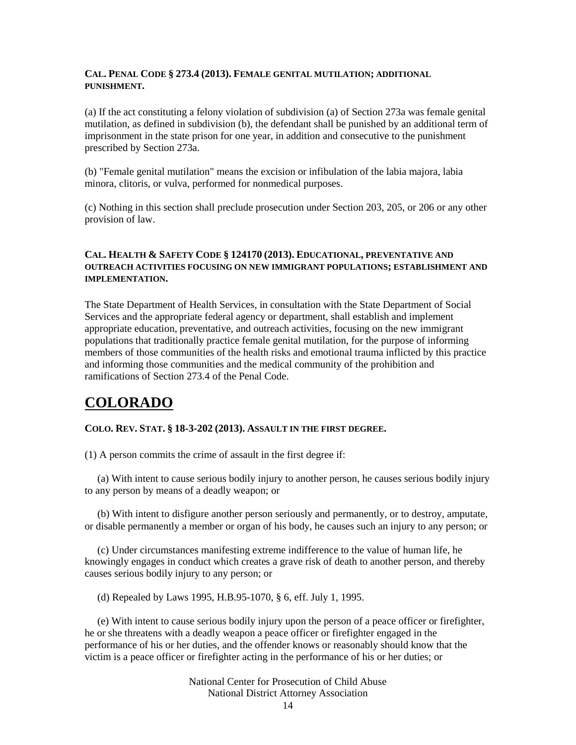### **CAL. PENAL CODE § 273.4 (2013). FEMALE GENITAL MUTILATION; ADDITIONAL PUNISHMENT.**

(a) If the act constituting a felony violation of subdivision (a) of Section 273a was female genital mutilation, as defined in subdivision (b), the defendant shall be punished by an additional term of imprisonment in the state prison for one year, in addition and consecutive to the punishment prescribed by Section 273a.

(b) "Female genital mutilation" means the excision or infibulation of the labia majora, labia minora, clitoris, or vulva, performed for nonmedical purposes.

(c) Nothing in this section shall preclude prosecution under Section 203, 205, or 206 or any other provision of law.

### **CAL. HEALTH & SAFETY CODE § 124170 (2013). EDUCATIONAL, PREVENTATIVE AND OUTREACH ACTIVITIES FOCUSING ON NEW IMMIGRANT POPULATIONS; ESTABLISHMENT AND IMPLEMENTATION.**

The State Department of Health Services, in consultation with the State Department of Social Services and the appropriate federal agency or department, shall establish and implement appropriate education, preventative, and outreach activities, focusing on the new immigrant populations that traditionally practice female genital mutilation, for the purpose of informing members of those communities of the health risks and emotional trauma inflicted by this practice and informing those communities and the medical community of the prohibition and ramifications of Section 273.4 of the Penal Code.

# **COLORADO**

#### **COLO. REV. STAT. § 18-3-202 (2013). ASSAULT IN THE FIRST DEGREE.**

(1) A person commits the crime of assault in the first degree if:

(a) With intent to cause serious bodily injury to another person, he causes serious bodily injury to any person by means of a deadly weapon; or

(b) With intent to disfigure another person seriously and permanently, or to destroy, amputate, or disable permanently a member or organ of his body, he causes such an injury to any person; or

(c) Under circumstances manifesting extreme indifference to the value of human life, he knowingly engages in conduct which creates a grave risk of death to another person, and thereby causes serious bodily injury to any person; or

(d) Repealed by Laws 1995, H.B.95-1070, § 6, eff. July 1, 1995.

(e) With intent to cause serious bodily injury upon the person of a peace officer or firefighter, he or she threatens with a deadly weapon a peace officer or firefighter engaged in the performance of his or her duties, and the offender knows or reasonably should know that the victim is a peace officer or firefighter acting in the performance of his or her duties; or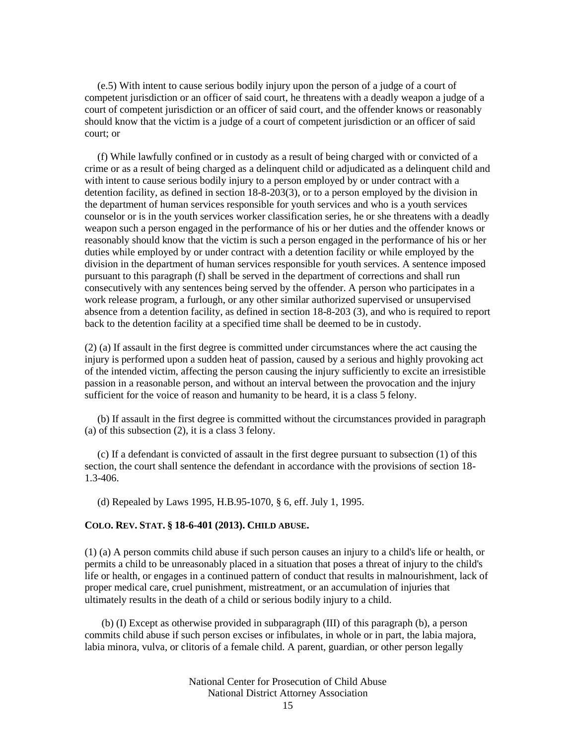(e.5) With intent to cause serious bodily injury upon the person of a judge of a court of competent jurisdiction or an officer of said court, he threatens with a deadly weapon a judge of a court of competent jurisdiction or an officer of said court, and the offender knows or reasonably should know that the victim is a judge of a court of competent jurisdiction or an officer of said court; or

(f) While lawfully confined or in custody as a result of being charged with or convicted of a crime or as a result of being charged as a delinquent child or adjudicated as a delinquent child and with intent to cause serious bodily injury to a person employed by or under contract with a detention facility, as defined in section 18-8-203(3), or to a person employed by the division in the department of human services responsible for youth services and who is a youth services counselor or is in the youth services worker classification series, he or she threatens with a deadly weapon such a person engaged in the performance of his or her duties and the offender knows or reasonably should know that the victim is such a person engaged in the performance of his or her duties while employed by or under contract with a detention facility or while employed by the division in the department of human services responsible for youth services. A sentence imposed pursuant to this paragraph (f) shall be served in the department of corrections and shall run consecutively with any sentences being served by the offender. A person who participates in a work release program, a furlough, or any other similar authorized supervised or unsupervised absence from a detention facility, as defined in section 18-8-203 (3), and who is required to report back to the detention facility at a specified time shall be deemed to be in custody.

(2) (a) If assault in the first degree is committed under circumstances where the act causing the injury is performed upon a sudden heat of passion, caused by a serious and highly provoking act of the intended victim, affecting the person causing the injury sufficiently to excite an irresistible passion in a reasonable person, and without an interval between the provocation and the injury sufficient for the voice of reason and humanity to be heard, it is a class 5 felony.

(b) If assault in the first degree is committed without the circumstances provided in paragraph (a) of this subsection (2), it is a class 3 felony.

(c) If a defendant is convicted of assault in the first degree pursuant to subsection (1) of this section, the court shall sentence the defendant in accordance with the provisions of section 18- 1.3-406.

(d) Repealed by Laws 1995, H.B.95-1070, § 6, eff. July 1, 1995.

#### **COLO. REV. STAT. § 18-6-401 (2013). CHILD ABUSE.**

(1) (a) A person commits child abuse if such person causes an injury to a child's life or health, or permits a child to be unreasonably placed in a situation that poses a threat of injury to the child's life or health, or engages in a continued pattern of conduct that results in malnourishment, lack of proper medical care, cruel punishment, mistreatment, or an accumulation of injuries that ultimately results in the death of a child or serious bodily injury to a child.

(b) (I) Except as otherwise provided in subparagraph (III) of this paragraph (b), a person commits child abuse if such person excises or infibulates, in whole or in part, the labia majora, labia minora, vulva, or clitoris of a female child. A parent, guardian, or other person legally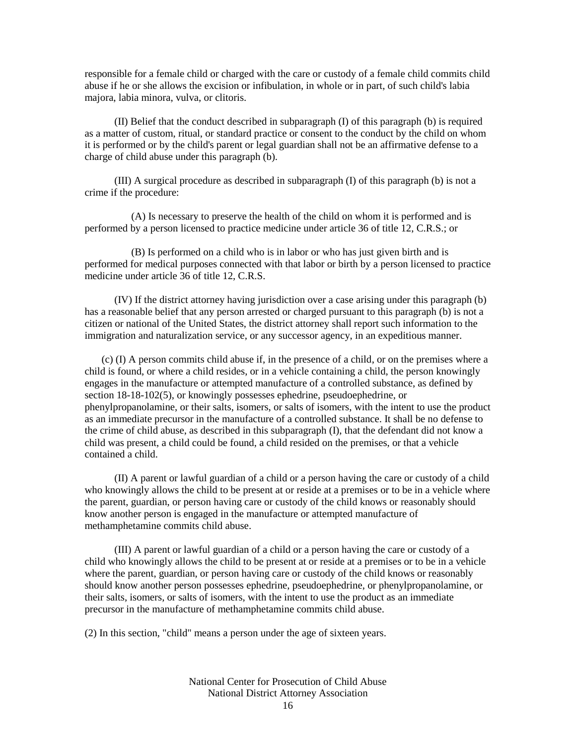responsible for a female child or charged with the care or custody of a female child commits child abuse if he or she allows the excision or infibulation, in whole or in part, of such child's labia majora, labia minora, vulva, or clitoris.

(II) Belief that the conduct described in subparagraph (I) of this paragraph (b) is required as a matter of custom, ritual, or standard practice or consent to the conduct by the child on whom it is performed or by the child's parent or legal guardian shall not be an affirmative defense to a charge of child abuse under this paragraph (b).

(III) A surgical procedure as described in subparagraph (I) of this paragraph (b) is not a crime if the procedure:

(A) Is necessary to preserve the health of the child on whom it is performed and is performed by a person licensed to practice medicine under article 36 of title 12, C.R.S.; or

(B) Is performed on a child who is in labor or who has just given birth and is performed for medical purposes connected with that labor or birth by a person licensed to practice medicine under article 36 of title 12, C.R.S.

(IV) If the district attorney having jurisdiction over a case arising under this paragraph (b) has a reasonable belief that any person arrested or charged pursuant to this paragraph (b) is not a citizen or national of the United States, the district attorney shall report such information to the immigration and naturalization service, or any successor agency, in an expeditious manner.

(c) (I) A person commits child abuse if, in the presence of a child, or on the premises where a child is found, or where a child resides, or in a vehicle containing a child, the person knowingly engages in the manufacture or attempted manufacture of a controlled substance, as defined by section 18-18-102(5), or knowingly possesses ephedrine, pseudoephedrine, or phenylpropanolamine, or their salts, isomers, or salts of isomers, with the intent to use the product as an immediate precursor in the manufacture of a controlled substance. It shall be no defense to the crime of child abuse, as described in this subparagraph (I), that the defendant did not know a child was present, a child could be found, a child resided on the premises, or that a vehicle contained a child.

(II) A parent or lawful guardian of a child or a person having the care or custody of a child who knowingly allows the child to be present at or reside at a premises or to be in a vehicle where the parent, guardian, or person having care or custody of the child knows or reasonably should know another person is engaged in the manufacture or attempted manufacture of methamphetamine commits child abuse.

(III) A parent or lawful guardian of a child or a person having the care or custody of a child who knowingly allows the child to be present at or reside at a premises or to be in a vehicle where the parent, guardian, or person having care or custody of the child knows or reasonably should know another person possesses ephedrine, pseudoephedrine, or phenylpropanolamine, or their salts, isomers, or salts of isomers, with the intent to use the product as an immediate precursor in the manufacture of methamphetamine commits child abuse.

(2) In this section, "child" means a person under the age of sixteen years.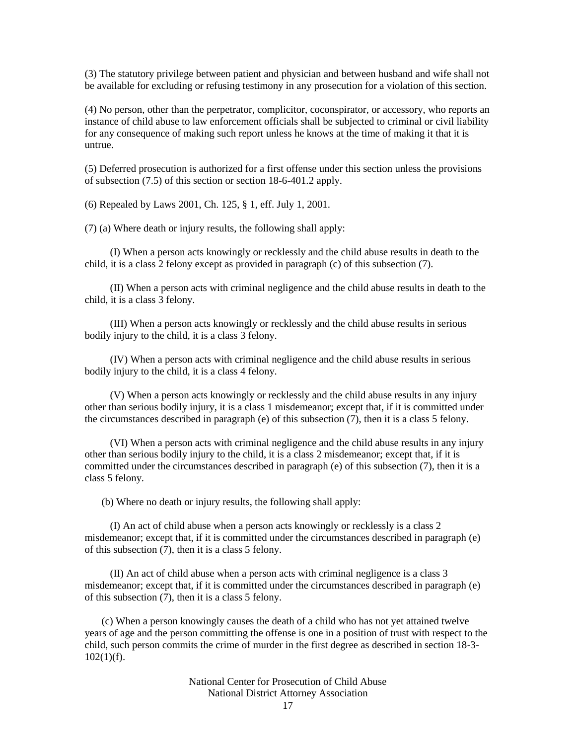(3) The statutory privilege between patient and physician and between husband and wife shall not be available for excluding or refusing testimony in any prosecution for a violation of this section.

(4) No person, other than the perpetrator, complicitor, coconspirator, or accessory, who reports an instance of child abuse to law enforcement officials shall be subjected to criminal or civil liability for any consequence of making such report unless he knows at the time of making it that it is untrue.

(5) Deferred prosecution is authorized for a first offense under this section unless the provisions of subsection (7.5) of this section or section 18-6-401.2 apply.

(6) Repealed by Laws 2001, Ch. 125, § 1, eff. July 1, 2001.

(7) (a) Where death or injury results, the following shall apply:

(I) When a person acts knowingly or recklessly and the child abuse results in death to the child, it is a class 2 felony except as provided in paragraph (c) of this subsection (7).

(II) When a person acts with criminal negligence and the child abuse results in death to the child, it is a class 3 felony.

(III) When a person acts knowingly or recklessly and the child abuse results in serious bodily injury to the child, it is a class 3 felony.

(IV) When a person acts with criminal negligence and the child abuse results in serious bodily injury to the child, it is a class 4 felony.

(V) When a person acts knowingly or recklessly and the child abuse results in any injury other than serious bodily injury, it is a class 1 misdemeanor; except that, if it is committed under the circumstances described in paragraph (e) of this subsection (7), then it is a class 5 felony.

(VI) When a person acts with criminal negligence and the child abuse results in any injury other than serious bodily injury to the child, it is a class 2 misdemeanor; except that, if it is committed under the circumstances described in paragraph (e) of this subsection (7), then it is a class 5 felony.

(b) Where no death or injury results, the following shall apply:

(I) An act of child abuse when a person acts knowingly or recklessly is a class 2 misdemeanor; except that, if it is committed under the circumstances described in paragraph (e) of this subsection (7), then it is a class 5 felony.

(II) An act of child abuse when a person acts with criminal negligence is a class 3 misdemeanor; except that, if it is committed under the circumstances described in paragraph (e) of this subsection (7), then it is a class 5 felony.

(c) When a person knowingly causes the death of a child who has not yet attained twelve years of age and the person committing the offense is one in a position of trust with respect to the child, such person commits the crime of murder in the first degree as described in section 18-3-  $102(1)(f)$ .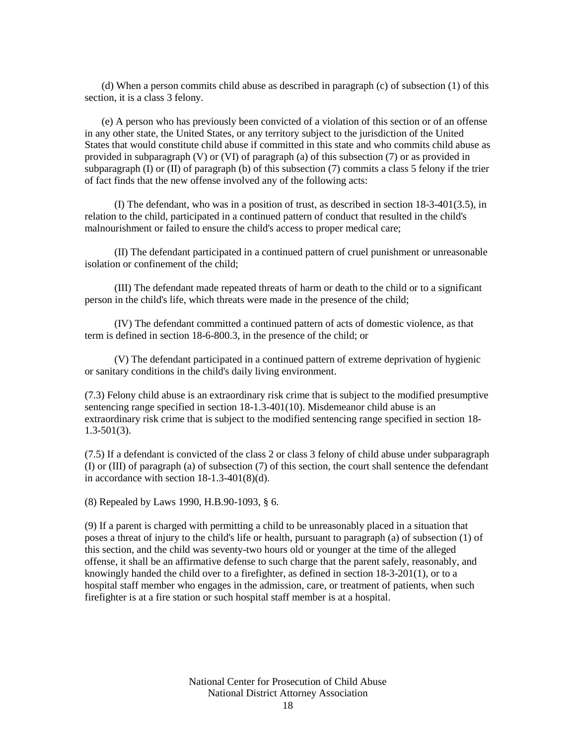(d) When a person commits child abuse as described in paragraph (c) of subsection (1) of this section, it is a class 3 felony.

(e) A person who has previously been convicted of a violation of this section or of an offense in any other state, the United States, or any territory subject to the jurisdiction of the United States that would constitute child abuse if committed in this state and who commits child abuse as provided in subparagraph (V) or (VI) of paragraph (a) of this subsection (7) or as provided in subparagraph (I) or  $(II)$  of paragraph (b) of this subsection (7) commits a class 5 felony if the trier of fact finds that the new offense involved any of the following acts:

(I) The defendant, who was in a position of trust, as described in section 18-3-401(3.5), in relation to the child, participated in a continued pattern of conduct that resulted in the child's malnourishment or failed to ensure the child's access to proper medical care;

(II) The defendant participated in a continued pattern of cruel punishment or unreasonable isolation or confinement of the child;

(III) The defendant made repeated threats of harm or death to the child or to a significant person in the child's life, which threats were made in the presence of the child;

(IV) The defendant committed a continued pattern of acts of domestic violence, as that term is defined in section 18-6-800.3, in the presence of the child; or

(V) The defendant participated in a continued pattern of extreme deprivation of hygienic or sanitary conditions in the child's daily living environment.

(7.3) Felony child abuse is an extraordinary risk crime that is subject to the modified presumptive sentencing range specified in section 18-1.3-401(10). Misdemeanor child abuse is an extraordinary risk crime that is subject to the modified sentencing range specified in section 18-  $1.3 - 501(3)$ .

(7.5) If a defendant is convicted of the class 2 or class 3 felony of child abuse under subparagraph (I) or (III) of paragraph (a) of subsection (7) of this section, the court shall sentence the defendant in accordance with section 18-1.3-401(8)(d).

(8) Repealed by Laws 1990, H.B.90-1093, § 6.

(9) If a parent is charged with permitting a child to be unreasonably placed in a situation that poses a threat of injury to the child's life or health, pursuant to paragraph (a) of subsection (1) of this section, and the child was seventy-two hours old or younger at the time of the alleged offense, it shall be an affirmative defense to such charge that the parent safely, reasonably, and knowingly handed the child over to a firefighter, as defined in section 18-3-201(1), or to a hospital staff member who engages in the admission, care, or treatment of patients, when such firefighter is at a fire station or such hospital staff member is at a hospital.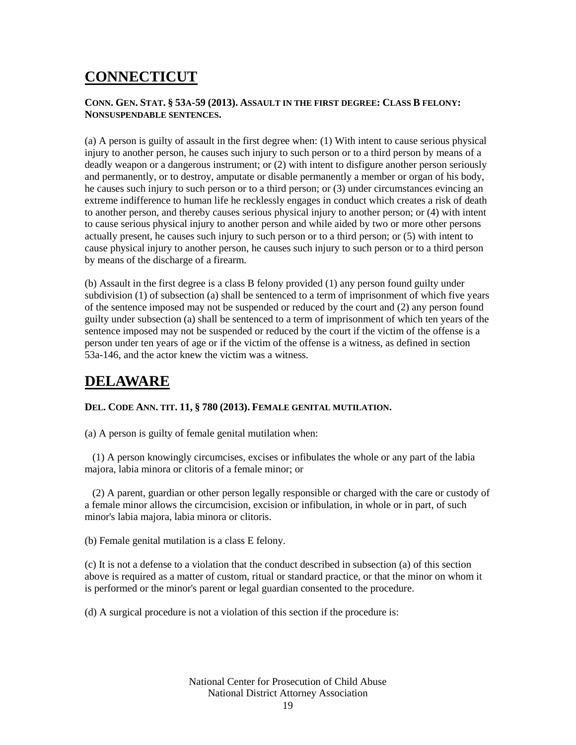# **CONNECTICUT**

### CONN. GEN. STAT. § 53A-59 (2013). ASSAULT IN THE FIRST DEGREE: CLASS B FELONY: **NONSUSPENDABLE SENTENCES.**

(a) A person is guilty of assault in the first degree when: (1) With intent to cause serious physical injury to another person, he causes such injury to such person or to a third person by means of a deadly weapon or a dangerous instrument; or (2) with intent to disfigure another person seriously and permanently, or to destroy, amputate or disable permanently a member or organ of his body, he causes such injury to such person or to a third person; or (3) under circumstances evincing an extreme indifference to human life he recklessly engages in conduct which creates a risk of death to another person, and thereby causes serious physical injury to another person; or (4) with intent to cause serious physical injury to another person and while aided by two or more other persons actually present, he causes such injury to such person or to a third person; or (5) with intent to cause physical injury to another person, he causes such injury to such person or to a third person by means of the discharge of a firearm.

(b) Assault in the first degree is a class B felony provided (1) any person found guilty under subdivision (1) of subsection (a) shall be sentenced to a term of imprisonment of which five years of the sentence imposed may not be suspended or reduced by the court and (2) any person found guilty under subsection (a) shall be sentenced to a term of imprisonment of which ten years of the sentence imposed may not be suspended or reduced by the court if the victim of the offense is a person under ten years of age or if the victim of the offense is a witness, as defined in section 53a-146, and the actor knew the victim was a witness.

## **DELAWARE**

#### **DEL. CODE ANN. TIT. 11, § 780 (2013). FEMALE GENITAL MUTILATION.**

(a) A person is guilty of female genital mutilation when:

 (1) A person knowingly circumcises, excises or infibulates the whole or any part of the labia majora, labia minora or clitoris of a female minor; or

 (2) A parent, guardian or other person legally responsible or charged with the care or custody of a female minor allows the circumcision, excision or infibulation, in whole or in part, of such minor's labia majora, labia minora or clitoris.

(b) Female genital mutilation is a class E felony.

(c) It is not a defense to a violation that the conduct described in subsection (a) of this section above is required as a matter of custom, ritual or standard practice, or that the minor on whom it is performed or the minor's parent or legal guardian consented to the procedure.

(d) A surgical procedure is not a violation of this section if the procedure is: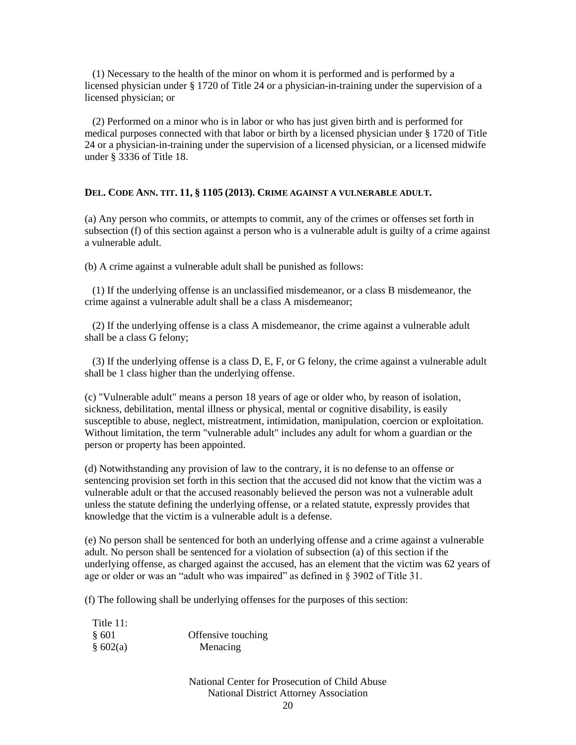(1) Necessary to the health of the minor on whom it is performed and is performed by a licensed physician under § 1720 of Title 24 or a physician-in-training under the supervision of a licensed physician; or

 (2) Performed on a minor who is in labor or who has just given birth and is performed for medical purposes connected with that labor or birth by a licensed physician under § 1720 of Title 24 or a physician-in-training under the supervision of a licensed physician, or a licensed midwife under § 3336 of Title 18.

#### **DEL. CODE ANN. TIT. 11, § 1105 (2013). CRIME AGAINST A VULNERABLE ADULT.**

(a) Any person who commits, or attempts to commit, any of the crimes or offenses set forth in subsection (f) of this section against a person who is a vulnerable adult is guilty of a crime against a vulnerable adult.

(b) A crime against a vulnerable adult shall be punished as follows:

 (1) If the underlying offense is an unclassified misdemeanor, or a class B misdemeanor, the crime against a vulnerable adult shall be a class A misdemeanor;

 (2) If the underlying offense is a class A misdemeanor, the crime against a vulnerable adult shall be a class G felony;

 (3) If the underlying offense is a class D, E, F, or G felony, the crime against a vulnerable adult shall be 1 class higher than the underlying offense.

(c) "Vulnerable adult" means a person 18 years of age or older who, by reason of isolation, sickness, debilitation, mental illness or physical, mental or cognitive disability, is easily susceptible to abuse, neglect, mistreatment, intimidation, manipulation, coercion or exploitation. Without limitation, the term "vulnerable adult" includes any adult for whom a guardian or the person or property has been appointed.

(d) Notwithstanding any provision of law to the contrary, it is no defense to an offense or sentencing provision set forth in this section that the accused did not know that the victim was a vulnerable adult or that the accused reasonably believed the person was not a vulnerable adult unless the statute defining the underlying offense, or a related statute, expressly provides that knowledge that the victim is a vulnerable adult is a defense.

(e) No person shall be sentenced for both an underlying offense and a crime against a vulnerable adult. No person shall be sentenced for a violation of subsection (a) of this section if the underlying offense, as charged against the accused, has an element that the victim was 62 years of age or older or was an "adult who was impaired" as defined in § 3902 of Title 31.

(f) The following shall be underlying offenses for the purposes of this section:

| Title $11$ : |                    |
|--------------|--------------------|
| §601         | Offensive touching |
| § 602(a)     | Menacing           |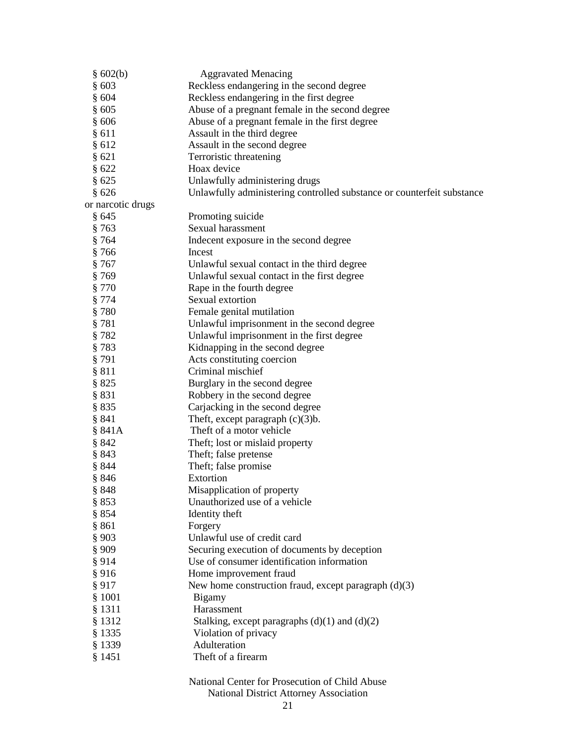| § 602(b)          | <b>Aggravated Menacing</b>                                             |
|-------------------|------------------------------------------------------------------------|
| § 603             | Reckless endangering in the second degree                              |
| § 604             | Reckless endangering in the first degree                               |
| § 605             | Abuse of a pregnant female in the second degree                        |
| § 606             | Abuse of a pregnant female in the first degree                         |
| §611              | Assault in the third degree                                            |
| §612              | Assault in the second degree                                           |
| §621              | Terroristic threatening                                                |
| §622              | Hoax device                                                            |
| §625              | Unlawfully administering drugs                                         |
| §626              | Unlawfully administering controlled substance or counterfeit substance |
| or narcotic drugs |                                                                        |
| §645              | Promoting suicide                                                      |
| §763              | Sexual harassment                                                      |
| §764              | Indecent exposure in the second degree                                 |
| §766              | Incest                                                                 |
| §767              | Unlawful sexual contact in the third degree                            |
| §769              | Unlawful sexual contact in the first degree                            |
| §770              | Rape in the fourth degree                                              |
| §774              | Sexual extortion                                                       |
| §780              | Female genital mutilation                                              |
| §781              | Unlawful imprisonment in the second degree                             |
| § 782             | Unlawful imprisonment in the first degree                              |
| §783              | Kidnapping in the second degree                                        |
| §791              | Acts constituting coercion                                             |
| § 811             | Criminal mischief                                                      |
| § 825             | Burglary in the second degree                                          |
| § 831             | Robbery in the second degree                                           |
| § 835             | Carjacking in the second degree                                        |
| § 841             | Theft, except paragraph $(c)(3)b$ .                                    |
| § 841A            | Theft of a motor vehicle                                               |
| § 842             | Theft; lost or mislaid property                                        |
| § 843             | Theft; false pretense                                                  |
| § 844             | Theft; false promise                                                   |
| \$846             | Extortion                                                              |
| § 848             | Misapplication of property                                             |
| § 853             | Unauthorized use of a vehicle                                          |
| § 854             | Identity theft                                                         |
| § 861             | Forgery                                                                |
| § 903             | Unlawful use of credit card                                            |
| § 909             | Securing execution of documents by deception                           |
| § 914             | Use of consumer identification information                             |
| §916              | Home improvement fraud                                                 |
| § 917             | New home construction fraud, except paragraph $(d)(3)$                 |
| \$1001            | <b>Bigamy</b>                                                          |
| § 1311            | Harassment                                                             |
| § 1312            | Stalking, except paragraphs $(d)(1)$ and $(d)(2)$                      |
| § 1335            | Violation of privacy                                                   |
| § 1339            | Adulteration                                                           |
| § 1451            | Theft of a firearm                                                     |
|                   |                                                                        |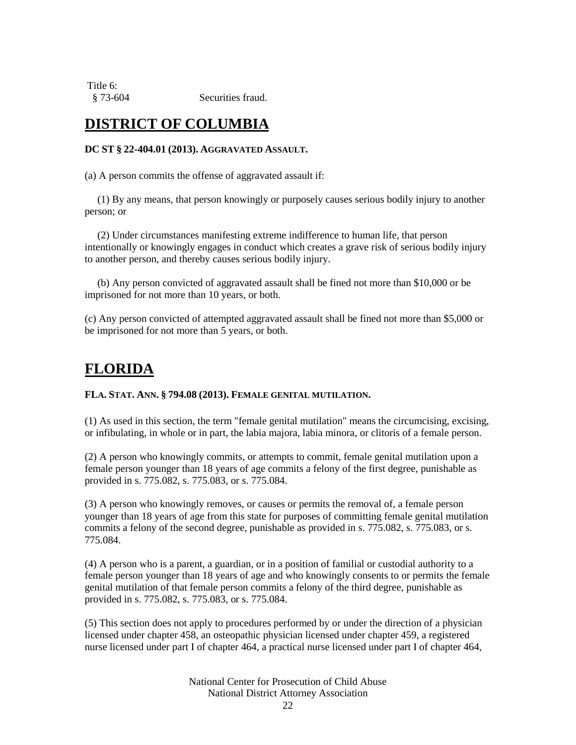Title 6: § 73-604 Securities fraud.

### **DISTRICT OF COLUMBIA**

#### **DC ST § 22-404.01 (2013). AGGRAVATED ASSAULT.**

(a) A person commits the offense of aggravated assault if:

(1) By any means, that person knowingly or purposely causes serious bodily injury to another person; or

(2) Under circumstances manifesting extreme indifference to human life, that person intentionally or knowingly engages in conduct which creates a grave risk of serious bodily injury to another person, and thereby causes serious bodily injury.

(b) Any person convicted of aggravated assault shall be fined not more than \$10,000 or be imprisoned for not more than 10 years, or both.

(c) Any person convicted of attempted aggravated assault shall be fined not more than \$5,000 or be imprisoned for not more than 5 years, or both.

### **FLORIDA**

#### **FLA. STAT. ANN. § 794.08 (2013). FEMALE GENITAL MUTILATION.**

(1) As used in this section, the term "female genital mutilation" means the circumcising, excising, or infibulating, in whole or in part, the labia majora, labia minora, or clitoris of a female person.

(2) A person who knowingly commits, or attempts to commit, female genital mutilation upon a female person younger than 18 years of age commits a felony of the first degree, punishable as provided in s. 775.082, s. 775.083, or s. 775.084.

(3) A person who knowingly removes, or causes or permits the removal of, a female person younger than 18 years of age from this state for purposes of committing female genital mutilation commits a felony of the second degree, punishable as provided in s. 775.082, s. 775.083, or s. 775.084.

(4) A person who is a parent, a guardian, or in a position of familial or custodial authority to a female person younger than 18 years of age and who knowingly consents to or permits the female genital mutilation of that female person commits a felony of the third degree, punishable as provided in s. 775.082, s. 775.083, or s. 775.084.

(5) This section does not apply to procedures performed by or under the direction of a physician licensed under chapter 458, an osteopathic physician licensed under chapter 459, a registered nurse licensed under part I of chapter 464, a practical nurse licensed under part I of chapter 464,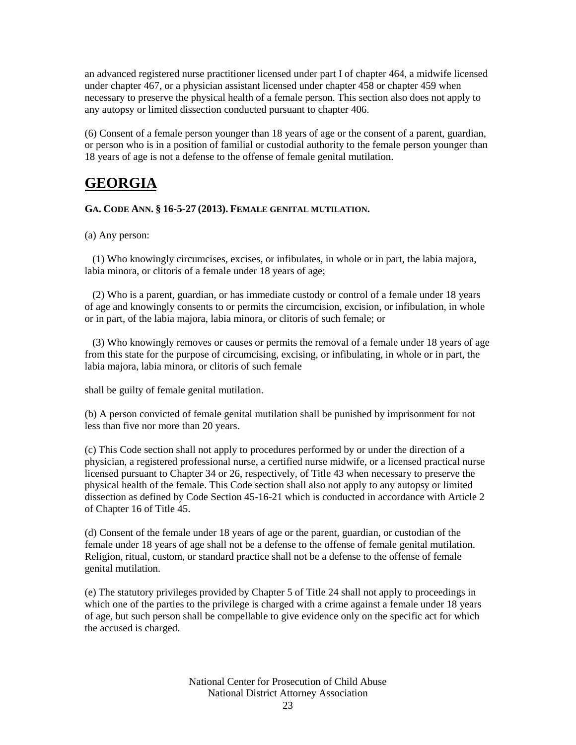an advanced registered nurse practitioner licensed under part I of chapter 464, a midwife licensed under chapter 467, or a physician assistant licensed under chapter 458 or chapter 459 when necessary to preserve the physical health of a female person. This section also does not apply to any autopsy or limited dissection conducted pursuant to chapter 406.

(6) Consent of a female person younger than 18 years of age or the consent of a parent, guardian, or person who is in a position of familial or custodial authority to the female person younger than 18 years of age is not a defense to the offense of female genital mutilation.

### **GEORGIA**

#### **GA. CODE ANN. § 16-5-27 (2013). FEMALE GENITAL MUTILATION.**

(a) Any person:

 (1) Who knowingly circumcises, excises, or infibulates, in whole or in part, the labia majora, labia minora, or clitoris of a female under 18 years of age;

 (2) Who is a parent, guardian, or has immediate custody or control of a female under 18 years of age and knowingly consents to or permits the circumcision, excision, or infibulation, in whole or in part, of the labia majora, labia minora, or clitoris of such female; or

 (3) Who knowingly removes or causes or permits the removal of a female under 18 years of age from this state for the purpose of circumcising, excising, or infibulating, in whole or in part, the labia majora, labia minora, or clitoris of such female

shall be guilty of female genital mutilation.

(b) A person convicted of female genital mutilation shall be punished by imprisonment for not less than five nor more than 20 years.

(c) This Code section shall not apply to procedures performed by or under the direction of a physician, a registered professional nurse, a certified nurse midwife, or a licensed practical nurse licensed pursuant to Chapter 34 or 26, respectively, of Title 43 when necessary to preserve the physical health of the female. This Code section shall also not apply to any autopsy or limited dissection as defined by Code Section 45-16-21 which is conducted in accordance with Article 2 of Chapter 16 of Title 45.

(d) Consent of the female under 18 years of age or the parent, guardian, or custodian of the female under 18 years of age shall not be a defense to the offense of female genital mutilation. Religion, ritual, custom, or standard practice shall not be a defense to the offense of female genital mutilation.

(e) The statutory privileges provided by Chapter 5 of Title 24 shall not apply to proceedings in which one of the parties to the privilege is charged with a crime against a female under 18 years of age, but such person shall be compellable to give evidence only on the specific act for which the accused is charged.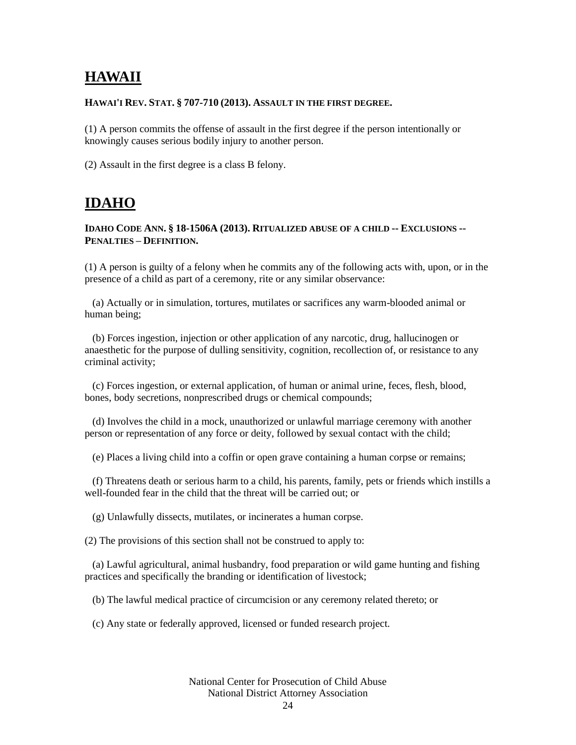# **HAWAII**

#### **HAWAI'I REV. STAT. § 707-710 (2013). ASSAULT IN THE FIRST DEGREE.**

(1) A person commits the offense of assault in the first degree if the person intentionally or knowingly causes serious bodily injury to another person.

(2) Assault in the first degree is a class B felony.

### **IDAHO**

**IDAHO CODE ANN. § 18-1506A (2013). RITUALIZED ABUSE OF A CHILD -- EXCLUSIONS -- PENALTIES – DEFINITION.** 

(1) A person is guilty of a felony when he commits any of the following acts with, upon, or in the presence of a child as part of a ceremony, rite or any similar observance:

 (a) Actually or in simulation, tortures, mutilates or sacrifices any warm-blooded animal or human being;

 (b) Forces ingestion, injection or other application of any narcotic, drug, hallucinogen or anaesthetic for the purpose of dulling sensitivity, cognition, recollection of, or resistance to any criminal activity;

 (c) Forces ingestion, or external application, of human or animal urine, feces, flesh, blood, bones, body secretions, nonprescribed drugs or chemical compounds;

 (d) Involves the child in a mock, unauthorized or unlawful marriage ceremony with another person or representation of any force or deity, followed by sexual contact with the child;

(e) Places a living child into a coffin or open grave containing a human corpse or remains;

 (f) Threatens death or serious harm to a child, his parents, family, pets or friends which instills a well-founded fear in the child that the threat will be carried out; or

(g) Unlawfully dissects, mutilates, or incinerates a human corpse.

(2) The provisions of this section shall not be construed to apply to:

 (a) Lawful agricultural, animal husbandry, food preparation or wild game hunting and fishing practices and specifically the branding or identification of livestock;

(b) The lawful medical practice of circumcision or any ceremony related thereto; or

(c) Any state or federally approved, licensed or funded research project.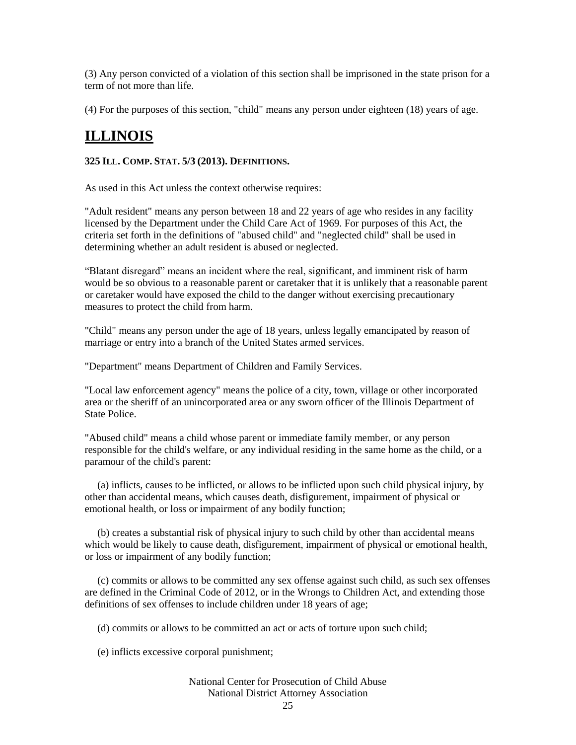(3) Any person convicted of a violation of this section shall be imprisoned in the state prison for a term of not more than life.

(4) For the purposes of this section, "child" means any person under eighteen (18) years of age.

# **ILLINOIS**

### **325 ILL. COMP. STAT. 5/3 (2013). DEFINITIONS.**

As used in this Act unless the context otherwise requires:

"Adult resident" means any person between 18 and 22 years of age who resides in any facility licensed by the Department under the Child Care Act of 1969. For purposes of this Act, the criteria set forth in the definitions of "abused child" and "neglected child" shall be used in determining whether an adult resident is abused or neglected.

"Blatant disregard" means an incident where the real, significant, and imminent risk of harm would be so obvious to a reasonable parent or caretaker that it is unlikely that a reasonable parent or caretaker would have exposed the child to the danger without exercising precautionary measures to protect the child from harm.

"Child" means any person under the age of 18 years, unless legally emancipated by reason of marriage or entry into a branch of the United States armed services.

"Department" means Department of Children and Family Services.

"Local law enforcement agency" means the police of a city, town, village or other incorporated area or the sheriff of an unincorporated area or any sworn officer of the Illinois Department of State Police.

"Abused child" means a child whose parent or immediate family member, or any person responsible for the child's welfare, or any individual residing in the same home as the child, or a paramour of the child's parent:

(a) inflicts, causes to be inflicted, or allows to be inflicted upon such child physical injury, by other than accidental means, which causes death, disfigurement, impairment of physical or emotional health, or loss or impairment of any bodily function;

(b) creates a substantial risk of physical injury to such child by other than accidental means which would be likely to cause death, disfigurement, impairment of physical or emotional health, or loss or impairment of any bodily function;

(c) commits or allows to be committed any sex offense against such child, as such sex offenses are defined in the Criminal Code of 2012, or in the Wrongs to Children Act, and extending those definitions of sex offenses to include children under 18 years of age;

(d) commits or allows to be committed an act or acts of torture upon such child;

(e) inflicts excessive corporal punishment;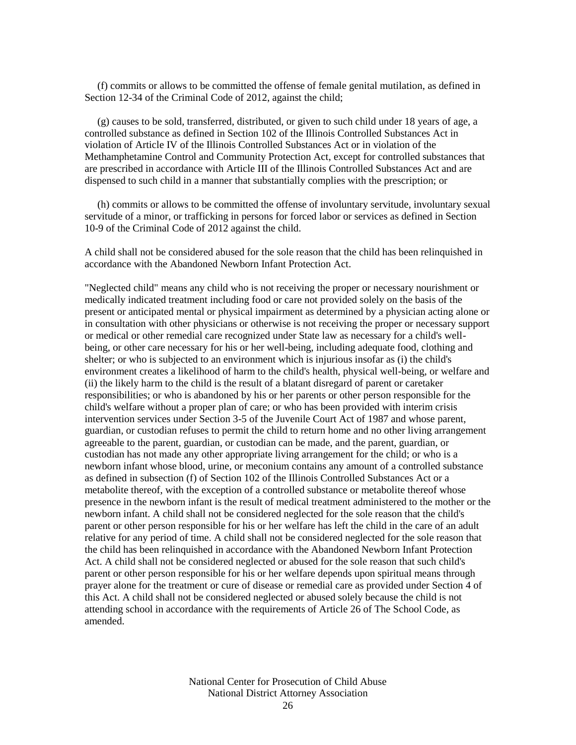(f) commits or allows to be committed the offense of female genital mutilation, as defined in Section 12-34 of the Criminal Code of 2012, against the child;

(g) causes to be sold, transferred, distributed, or given to such child under 18 years of age, a controlled substance as defined in Section 102 of the Illinois Controlled Substances Act in violation of Article IV of the Illinois Controlled Substances Act or in violation of the Methamphetamine Control and Community Protection Act, except for controlled substances that are prescribed in accordance with Article III of the Illinois Controlled Substances Act and are dispensed to such child in a manner that substantially complies with the prescription; or

(h) commits or allows to be committed the offense of involuntary servitude, involuntary sexual servitude of a minor, or trafficking in persons for forced labor or services as defined in Section 10-9 of the Criminal Code of 2012 against the child.

A child shall not be considered abused for the sole reason that the child has been relinquished in accordance with the Abandoned Newborn Infant Protection Act.

"Neglected child" means any child who is not receiving the proper or necessary nourishment or medically indicated treatment including food or care not provided solely on the basis of the present or anticipated mental or physical impairment as determined by a physician acting alone or in consultation with other physicians or otherwise is not receiving the proper or necessary support or medical or other remedial care recognized under State law as necessary for a child's wellbeing, or other care necessary for his or her well-being, including adequate food, clothing and shelter; or who is subjected to an environment which is injurious insofar as (i) the child's environment creates a likelihood of harm to the child's health, physical well-being, or welfare and (ii) the likely harm to the child is the result of a blatant disregard of parent or caretaker responsibilities; or who is abandoned by his or her parents or other person responsible for the child's welfare without a proper plan of care; or who has been provided with interim crisis intervention services under Section 3-5 of the Juvenile Court Act of 1987 and whose parent, guardian, or custodian refuses to permit the child to return home and no other living arrangement agreeable to the parent, guardian, or custodian can be made, and the parent, guardian, or custodian has not made any other appropriate living arrangement for the child; or who is a newborn infant whose blood, urine, or meconium contains any amount of a controlled substance as defined in subsection (f) of Section 102 of the Illinois Controlled Substances Act or a metabolite thereof, with the exception of a controlled substance or metabolite thereof whose presence in the newborn infant is the result of medical treatment administered to the mother or the newborn infant. A child shall not be considered neglected for the sole reason that the child's parent or other person responsible for his or her welfare has left the child in the care of an adult relative for any period of time. A child shall not be considered neglected for the sole reason that the child has been relinquished in accordance with the Abandoned Newborn Infant Protection Act. A child shall not be considered neglected or abused for the sole reason that such child's parent or other person responsible for his or her welfare depends upon spiritual means through prayer alone for the treatment or cure of disease or remedial care as provided under Section 4 of this Act. A child shall not be considered neglected or abused solely because the child is not attending school in accordance with the requirements of Article 26 of The School Code, as amended.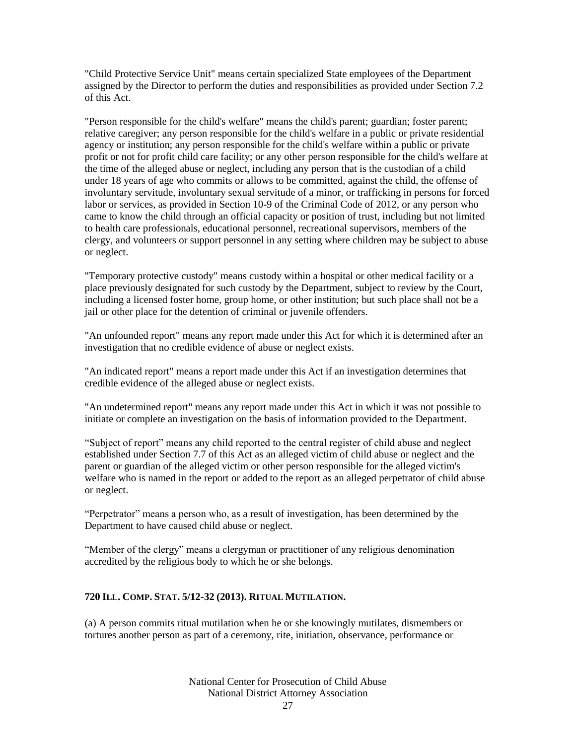"Child Protective Service Unit" means certain specialized State employees of the Department assigned by the Director to perform the duties and responsibilities as provided under Section 7.2 of this Act.

"Person responsible for the child's welfare" means the child's parent; guardian; foster parent; relative caregiver; any person responsible for the child's welfare in a public or private residential agency or institution; any person responsible for the child's welfare within a public or private profit or not for profit child care facility; or any other person responsible for the child's welfare at the time of the alleged abuse or neglect, including any person that is the custodian of a child under 18 years of age who commits or allows to be committed, against the child, the offense of involuntary servitude, involuntary sexual servitude of a minor, or trafficking in persons for forced labor or services, as provided in Section 10-9 of the Criminal Code of 2012, or any person who came to know the child through an official capacity or position of trust, including but not limited to health care professionals, educational personnel, recreational supervisors, members of the clergy, and volunteers or support personnel in any setting where children may be subject to abuse or neglect.

"Temporary protective custody" means custody within a hospital or other medical facility or a place previously designated for such custody by the Department, subject to review by the Court, including a licensed foster home, group home, or other institution; but such place shall not be a jail or other place for the detention of criminal or juvenile offenders.

"An unfounded report" means any report made under this Act for which it is determined after an investigation that no credible evidence of abuse or neglect exists.

"An indicated report" means a report made under this Act if an investigation determines that credible evidence of the alleged abuse or neglect exists.

"An undetermined report" means any report made under this Act in which it was not possible to initiate or complete an investigation on the basis of information provided to the Department.

"Subject of report" means any child reported to the central register of child abuse and neglect established under Section 7.7 of this Act as an alleged victim of child abuse or neglect and the parent or guardian of the alleged victim or other person responsible for the alleged victim's welfare who is named in the report or added to the report as an alleged perpetrator of child abuse or neglect.

"Perpetrator" means a person who, as a result of investigation, has been determined by the Department to have caused child abuse or neglect.

"Member of the clergy" means a clergyman or practitioner of any religious denomination accredited by the religious body to which he or she belongs.

#### **720 ILL. COMP. STAT. 5/12-32 (2013). RITUAL MUTILATION.**

(a) A person commits ritual mutilation when he or she knowingly mutilates, dismembers or tortures another person as part of a ceremony, rite, initiation, observance, performance or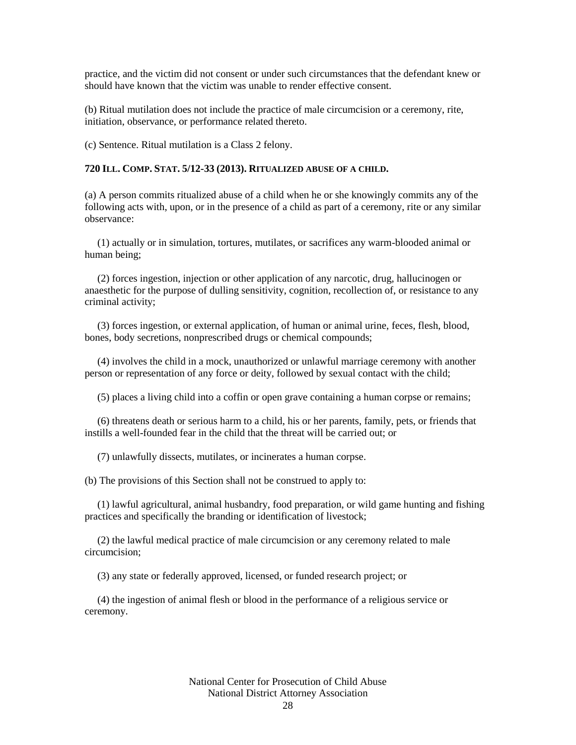practice, and the victim did not consent or under such circumstances that the defendant knew or should have known that the victim was unable to render effective consent.

(b) Ritual mutilation does not include the practice of male circumcision or a ceremony, rite, initiation, observance, or performance related thereto.

(c) Sentence. Ritual mutilation is a Class 2 felony.

#### **720 ILL. COMP. STAT. 5/12-33 (2013). RITUALIZED ABUSE OF A CHILD.**

(a) A person commits ritualized abuse of a child when he or she knowingly commits any of the following acts with, upon, or in the presence of a child as part of a ceremony, rite or any similar observance:

(1) actually or in simulation, tortures, mutilates, or sacrifices any warm-blooded animal or human being;

(2) forces ingestion, injection or other application of any narcotic, drug, hallucinogen or anaesthetic for the purpose of dulling sensitivity, cognition, recollection of, or resistance to any criminal activity;

(3) forces ingestion, or external application, of human or animal urine, feces, flesh, blood, bones, body secretions, nonprescribed drugs or chemical compounds;

(4) involves the child in a mock, unauthorized or unlawful marriage ceremony with another person or representation of any force or deity, followed by sexual contact with the child;

(5) places a living child into a coffin or open grave containing a human corpse or remains;

(6) threatens death or serious harm to a child, his or her parents, family, pets, or friends that instills a well-founded fear in the child that the threat will be carried out; or

(7) unlawfully dissects, mutilates, or incinerates a human corpse.

(b) The provisions of this Section shall not be construed to apply to:

(1) lawful agricultural, animal husbandry, food preparation, or wild game hunting and fishing practices and specifically the branding or identification of livestock;

(2) the lawful medical practice of male circumcision or any ceremony related to male circumcision;

(3) any state or federally approved, licensed, or funded research project; or

(4) the ingestion of animal flesh or blood in the performance of a religious service or ceremony.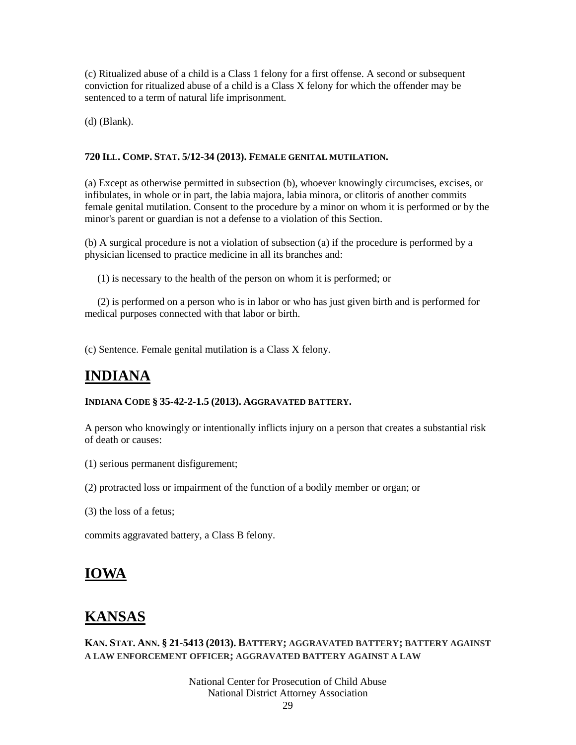(c) Ritualized abuse of a child is a Class 1 felony for a first offense. A second or subsequent conviction for ritualized abuse of a child is a Class X felony for which the offender may be sentenced to a term of natural life imprisonment.

(d) (Blank).

### **720 ILL. COMP. STAT. 5/12-34 (2013). FEMALE GENITAL MUTILATION.**

(a) Except as otherwise permitted in subsection (b), whoever knowingly circumcises, excises, or infibulates, in whole or in part, the labia majora, labia minora, or clitoris of another commits female genital mutilation. Consent to the procedure by a minor on whom it is performed or by the minor's parent or guardian is not a defense to a violation of this Section.

(b) A surgical procedure is not a violation of subsection (a) if the procedure is performed by a physician licensed to practice medicine in all its branches and:

(1) is necessary to the health of the person on whom it is performed; or

(2) is performed on a person who is in labor or who has just given birth and is performed for medical purposes connected with that labor or birth.

(c) Sentence. Female genital mutilation is a Class X felony.

### **INDIANA**

#### **INDIANA CODE § 35-42-2-1.5 (2013). AGGRAVATED BATTERY.**

A person who knowingly or intentionally inflicts injury on a person that creates a substantial risk of death or causes:

(1) serious permanent disfigurement;

(2) protracted loss or impairment of the function of a bodily member or organ; or

(3) the loss of a fetus;

commits aggravated battery, a Class B felony.

### **IOWA**

### **KANSAS**

**KAN. STAT. ANN. § 21-5413 (2013). BATTERY; AGGRAVATED BATTERY; BATTERY AGAINST A LAW ENFORCEMENT OFFICER; AGGRAVATED BATTERY AGAINST A LAW**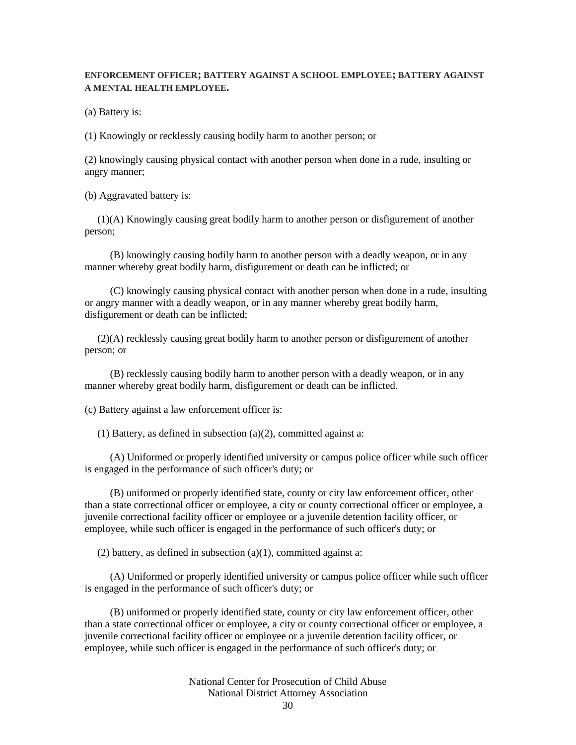#### **ENFORCEMENT OFFICER; BATTERY AGAINST A SCHOOL EMPLOYEE; BATTERY AGAINST A MENTAL HEALTH EMPLOYEE.**

(a) Battery is:

(1) Knowingly or recklessly causing bodily harm to another person; or

(2) knowingly causing physical contact with another person when done in a rude, insulting or angry manner;

(b) Aggravated battery is:

(1)(A) Knowingly causing great bodily harm to another person or disfigurement of another person;

(B) knowingly causing bodily harm to another person with a deadly weapon, or in any manner whereby great bodily harm, disfigurement or death can be inflicted; or

(C) knowingly causing physical contact with another person when done in a rude, insulting or angry manner with a deadly weapon, or in any manner whereby great bodily harm, disfigurement or death can be inflicted;

(2)(A) recklessly causing great bodily harm to another person or disfigurement of another person; or

(B) recklessly causing bodily harm to another person with a deadly weapon, or in any manner whereby great bodily harm, disfigurement or death can be inflicted.

(c) Battery against a law enforcement officer is:

(1) Battery, as defined in subsection (a)(2), committed against a:

(A) Uniformed or properly identified university or campus police officer while such officer is engaged in the performance of such officer's duty; or

(B) uniformed or properly identified state, county or city law enforcement officer, other than a state correctional officer or employee, a city or county correctional officer or employee, a juvenile correctional facility officer or employee or a juvenile detention facility officer, or employee, while such officer is engaged in the performance of such officer's duty; or

(2) battery, as defined in subsection  $(a)(1)$ , committed against a:

(A) Uniformed or properly identified university or campus police officer while such officer is engaged in the performance of such officer's duty; or

(B) uniformed or properly identified state, county or city law enforcement officer, other than a state correctional officer or employee, a city or county correctional officer or employee, a juvenile correctional facility officer or employee or a juvenile detention facility officer, or employee, while such officer is engaged in the performance of such officer's duty; or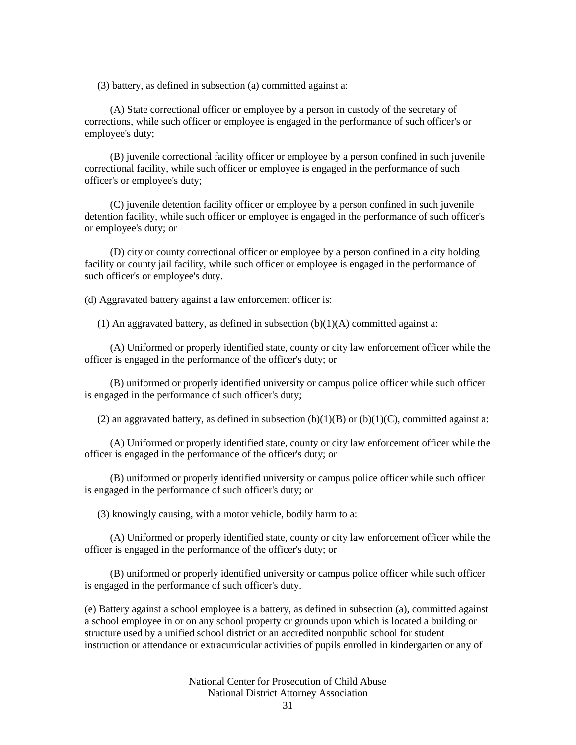(3) battery, as defined in subsection (a) committed against a:

(A) State correctional officer or employee by a person in custody of the secretary of corrections, while such officer or employee is engaged in the performance of such officer's or employee's duty;

(B) juvenile correctional facility officer or employee by a person confined in such juvenile correctional facility, while such officer or employee is engaged in the performance of such officer's or employee's duty;

(C) juvenile detention facility officer or employee by a person confined in such juvenile detention facility, while such officer or employee is engaged in the performance of such officer's or employee's duty; or

(D) city or county correctional officer or employee by a person confined in a city holding facility or county jail facility, while such officer or employee is engaged in the performance of such officer's or employee's duty.

(d) Aggravated battery against a law enforcement officer is:

(1) An aggravated battery, as defined in subsection  $(b)(1)(A)$  committed against a:

(A) Uniformed or properly identified state, county or city law enforcement officer while the officer is engaged in the performance of the officer's duty; or

(B) uniformed or properly identified university or campus police officer while such officer is engaged in the performance of such officer's duty;

(2) an aggravated battery, as defined in subsection  $(b)(1)(B)$  or  $(b)(1)(C)$ , committed against a:

(A) Uniformed or properly identified state, county or city law enforcement officer while the officer is engaged in the performance of the officer's duty; or

(B) uniformed or properly identified university or campus police officer while such officer is engaged in the performance of such officer's duty; or

(3) knowingly causing, with a motor vehicle, bodily harm to a:

(A) Uniformed or properly identified state, county or city law enforcement officer while the officer is engaged in the performance of the officer's duty; or

(B) uniformed or properly identified university or campus police officer while such officer is engaged in the performance of such officer's duty.

(e) Battery against a school employee is a battery, as defined in subsection (a), committed against a school employee in or on any school property or grounds upon which is located a building or structure used by a unified school district or an accredited nonpublic school for student instruction or attendance or extracurricular activities of pupils enrolled in kindergarten or any of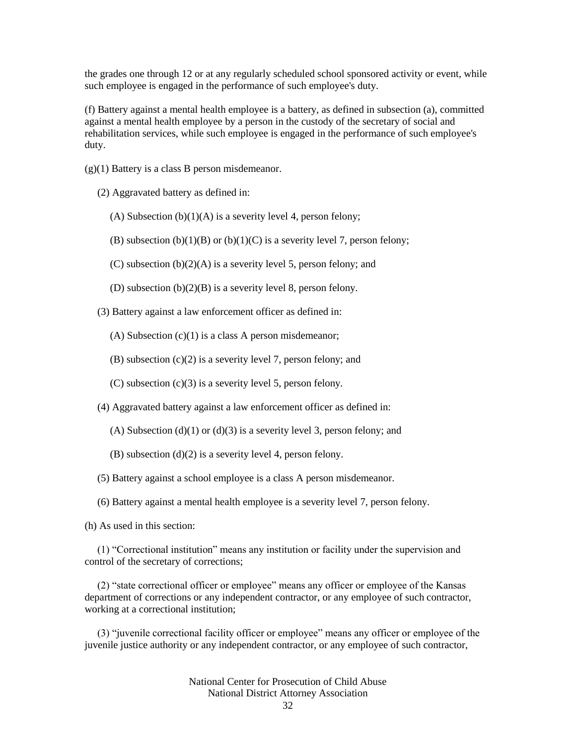the grades one through 12 or at any regularly scheduled school sponsored activity or event, while such employee is engaged in the performance of such employee's duty.

(f) Battery against a mental health employee is a battery, as defined in subsection (a), committed against a mental health employee by a person in the custody of the secretary of social and rehabilitation services, while such employee is engaged in the performance of such employee's duty.

- $(g)(1)$  Battery is a class B person misdemeanor.
	- (2) Aggravated battery as defined in:
		- (A) Subsection  $(b)(1)(A)$  is a severity level 4, person felony;
		- (B) subsection (b)(1)(B) or (b)(1)(C) is a severity level 7, person felony;
		- (C) subsection  $(b)(2)(A)$  is a severity level 5, person felony; and
		- (D) subsection (b)(2)(B) is a severity level 8, person felony.
	- (3) Battery against a law enforcement officer as defined in:
		- (A) Subsection  $(c)(1)$  is a class A person misdemeanor;
		- (B) subsection (c)(2) is a severity level 7, person felony; and
		- (C) subsection (c)(3) is a severity level 5, person felony.
	- (4) Aggravated battery against a law enforcement officer as defined in:
		- (A) Subsection (d)(1) or (d)(3) is a severity level 3, person felony; and
		- (B) subsection (d)(2) is a severity level 4, person felony.
	- (5) Battery against a school employee is a class A person misdemeanor.
	- (6) Battery against a mental health employee is a severity level 7, person felony.
- (h) As used in this section:

(1) "Correctional institution" means any institution or facility under the supervision and control of the secretary of corrections;

(2) "state correctional officer or employee" means any officer or employee of the Kansas department of corrections or any independent contractor, or any employee of such contractor, working at a correctional institution;

(3) "juvenile correctional facility officer or employee" means any officer or employee of the juvenile justice authority or any independent contractor, or any employee of such contractor,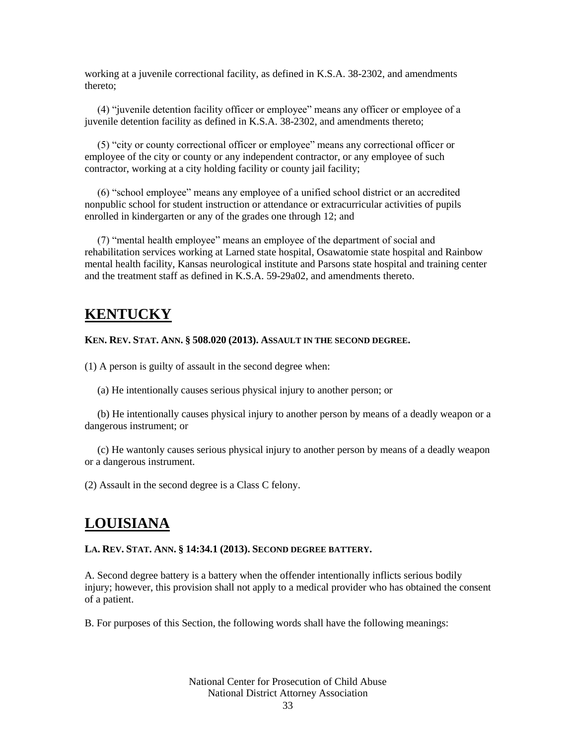working at a juvenile correctional facility, as defined in K.S.A. 38-2302, and amendments thereto;

(4) "juvenile detention facility officer or employee" means any officer or employee of a juvenile detention facility as defined in K.S.A. 38-2302, and amendments thereto;

(5) "city or county correctional officer or employee" means any correctional officer or employee of the city or county or any independent contractor, or any employee of such contractor, working at a city holding facility or county jail facility;

(6) "school employee" means any employee of a unified school district or an accredited nonpublic school for student instruction or attendance or extracurricular activities of pupils enrolled in kindergarten or any of the grades one through 12; and

(7) "mental health employee" means an employee of the department of social and rehabilitation services working at Larned state hospital, Osawatomie state hospital and Rainbow mental health facility, Kansas neurological institute and Parsons state hospital and training center and the treatment staff as defined in K.S.A. 59-29a02, and amendments thereto.

# **KENTUCKY**

### **KEN. REV. STAT. ANN. § 508.020 (2013). ASSAULT IN THE SECOND DEGREE.**

(1) A person is guilty of assault in the second degree when:

(a) He intentionally causes serious physical injury to another person; or

(b) He intentionally causes physical injury to another person by means of a deadly weapon or a dangerous instrument; or

(c) He wantonly causes serious physical injury to another person by means of a deadly weapon or a dangerous instrument.

(2) Assault in the second degree is a Class C felony.

# **LOUISIANA**

#### **LA. REV. STAT. ANN. § 14:34.1 (2013). SECOND DEGREE BATTERY.**

A. Second degree battery is a battery when the offender intentionally inflicts serious bodily injury; however, this provision shall not apply to a medical provider who has obtained the consent of a patient.

B. For purposes of this Section, the following words shall have the following meanings: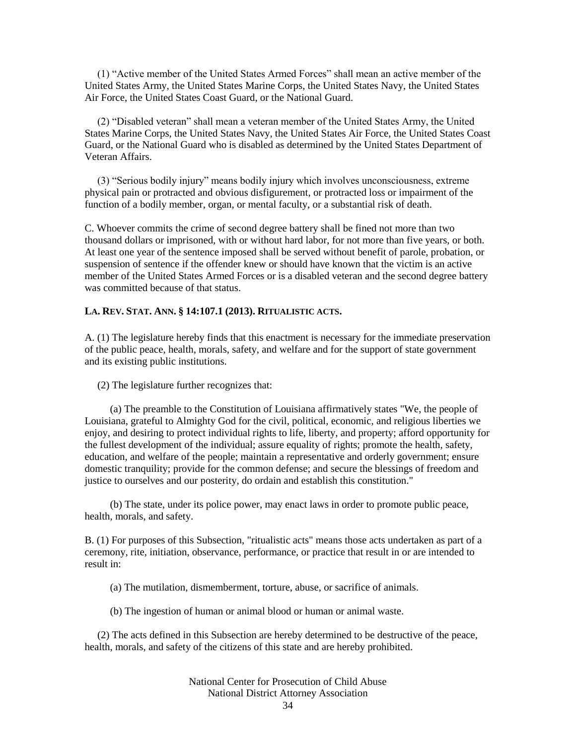(1) "Active member of the United States Armed Forces" shall mean an active member of the United States Army, the United States Marine Corps, the United States Navy, the United States Air Force, the United States Coast Guard, or the National Guard.

(2) "Disabled veteran" shall mean a veteran member of the United States Army, the United States Marine Corps, the United States Navy, the United States Air Force, the United States Coast Guard, or the National Guard who is disabled as determined by the United States Department of Veteran Affairs.

(3) "Serious bodily injury" means bodily injury which involves unconsciousness, extreme physical pain or protracted and obvious disfigurement, or protracted loss or impairment of the function of a bodily member, organ, or mental faculty, or a substantial risk of death.

C. Whoever commits the crime of second degree battery shall be fined not more than two thousand dollars or imprisoned, with or without hard labor, for not more than five years, or both. At least one year of the sentence imposed shall be served without benefit of parole, probation, or suspension of sentence if the offender knew or should have known that the victim is an active member of the United States Armed Forces or is a disabled veteran and the second degree battery was committed because of that status.

### **LA. REV. STAT. ANN. § 14:107.1 (2013). RITUALISTIC ACTS.**

A. (1) The legislature hereby finds that this enactment is necessary for the immediate preservation of the public peace, health, morals, safety, and welfare and for the support of state government and its existing public institutions.

(2) The legislature further recognizes that:

(a) The preamble to the Constitution of Louisiana affirmatively states "We, the people of Louisiana, grateful to Almighty God for the civil, political, economic, and religious liberties we enjoy, and desiring to protect individual rights to life, liberty, and property; afford opportunity for the fullest development of the individual; assure equality of rights; promote the health, safety, education, and welfare of the people; maintain a representative and orderly government; ensure domestic tranquility; provide for the common defense; and secure the blessings of freedom and justice to ourselves and our posterity, do ordain and establish this constitution."

(b) The state, under its police power, may enact laws in order to promote public peace, health, morals, and safety.

B. (1) For purposes of this Subsection, "ritualistic acts" means those acts undertaken as part of a ceremony, rite, initiation, observance, performance, or practice that result in or are intended to result in:

(a) The mutilation, dismemberment, torture, abuse, or sacrifice of animals.

(b) The ingestion of human or animal blood or human or animal waste.

(2) The acts defined in this Subsection are hereby determined to be destructive of the peace, health, morals, and safety of the citizens of this state and are hereby prohibited.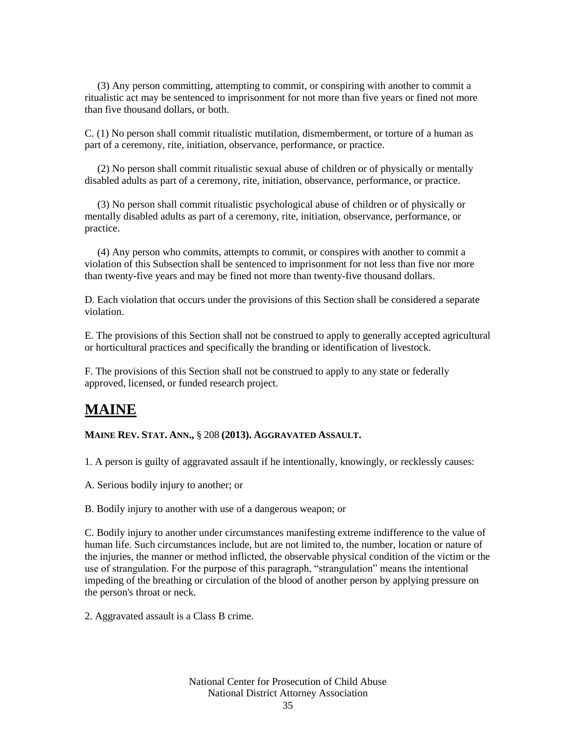(3) Any person committing, attempting to commit, or conspiring with another to commit a ritualistic act may be sentenced to imprisonment for not more than five years or fined not more than five thousand dollars, or both.

C. (1) No person shall commit ritualistic mutilation, dismemberment, or torture of a human as part of a ceremony, rite, initiation, observance, performance, or practice.

(2) No person shall commit ritualistic sexual abuse of children or of physically or mentally disabled adults as part of a ceremony, rite, initiation, observance, performance, or practice.

(3) No person shall commit ritualistic psychological abuse of children or of physically or mentally disabled adults as part of a ceremony, rite, initiation, observance, performance, or practice.

(4) Any person who commits, attempts to commit, or conspires with another to commit a violation of this Subsection shall be sentenced to imprisonment for not less than five nor more than twenty-five years and may be fined not more than twenty-five thousand dollars.

D. Each violation that occurs under the provisions of this Section shall be considered a separate violation.

E. The provisions of this Section shall not be construed to apply to generally accepted agricultural or horticultural practices and specifically the branding or identification of livestock.

F. The provisions of this Section shall not be construed to apply to any state or federally approved, licensed, or funded research project.

### **MAINE**

#### **MAINE REV. STAT. ANN.,** § 208 **(2013). AGGRAVATED ASSAULT.**

1. A person is guilty of aggravated assault if he intentionally, knowingly, or recklessly causes:

A. Serious bodily injury to another; or

B. Bodily injury to another with use of a dangerous weapon; or

C. Bodily injury to another under circumstances manifesting extreme indifference to the value of human life. Such circumstances include, but are not limited to, the number, location or nature of the injuries, the manner or method inflicted, the observable physical condition of the victim or the use of strangulation. For the purpose of this paragraph, "strangulation" means the intentional impeding of the breathing or circulation of the blood of another person by applying pressure on the person's throat or neck.

2. Aggravated assault is a Class B crime.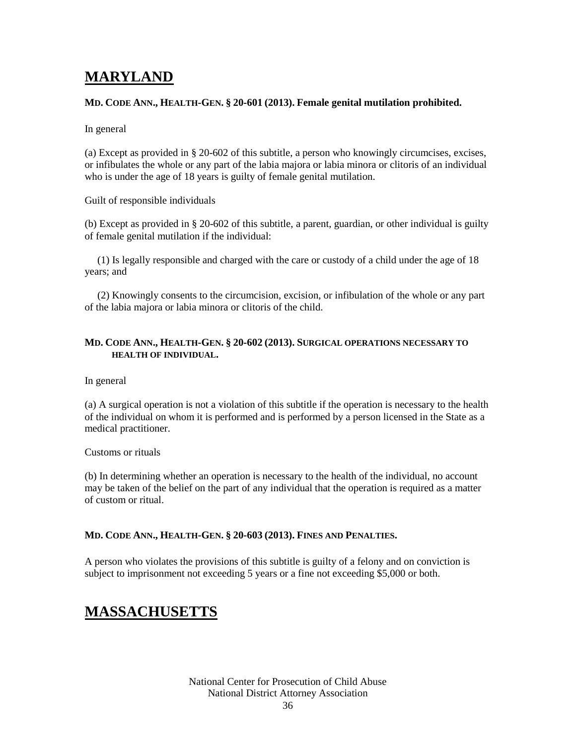# **MARYLAND**

### **MD. CODE ANN., HEALTH-GEN. § 20-601 (2013). Female genital mutilation prohibited.**

### In general

(a) Except as provided in § 20-602 of this subtitle, a person who knowingly circumcises, excises, or infibulates the whole or any part of the labia majora or labia minora or clitoris of an individual who is under the age of 18 years is guilty of female genital mutilation.

Guilt of responsible individuals

(b) Except as provided in § 20-602 of this subtitle, a parent, guardian, or other individual is guilty of female genital mutilation if the individual:

(1) Is legally responsible and charged with the care or custody of a child under the age of 18 years; and

(2) Knowingly consents to the circumcision, excision, or infibulation of the whole or any part of the labia majora or labia minora or clitoris of the child.

### **MD. CODE ANN., HEALTH-GEN. § 20-602 (2013). SURGICAL OPERATIONS NECESSARY TO HEALTH OF INDIVIDUAL.**

### In general

(a) A surgical operation is not a violation of this subtitle if the operation is necessary to the health of the individual on whom it is performed and is performed by a person licensed in the State as a medical practitioner.

#### Customs or rituals

(b) In determining whether an operation is necessary to the health of the individual, no account may be taken of the belief on the part of any individual that the operation is required as a matter of custom or ritual.

### **MD. CODE ANN., HEALTH-GEN. § 20-603 (2013). FINES AND PENALTIES.**

A person who violates the provisions of this subtitle is guilty of a felony and on conviction is subject to imprisonment not exceeding 5 years or a fine not exceeding \$5,000 or both.

# **MASSACHUSETTS**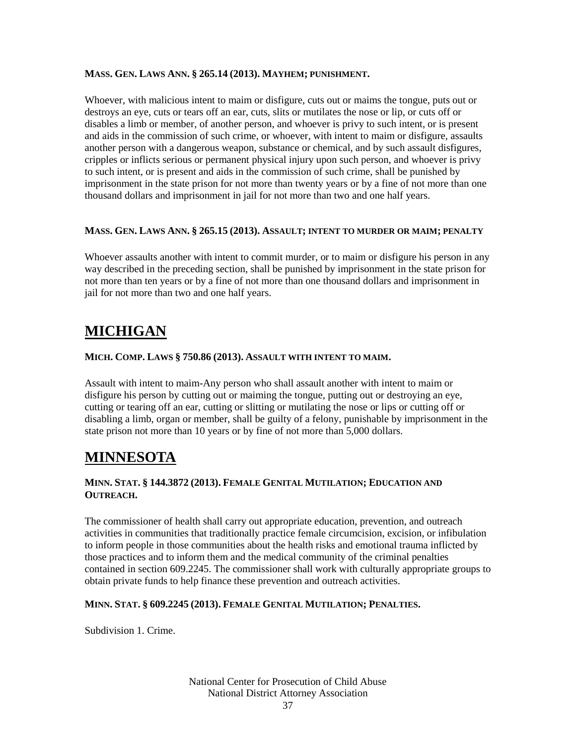#### **MASS. GEN. LAWS ANN. § 265.14 (2013). MAYHEM; PUNISHMENT.**

Whoever, with malicious intent to maim or disfigure, cuts out or maims the tongue, puts out or destroys an eye, cuts or tears off an ear, cuts, slits or mutilates the nose or lip, or cuts off or disables a limb or member, of another person, and whoever is privy to such intent, or is present and aids in the commission of such crime, or whoever, with intent to maim or disfigure, assaults another person with a dangerous weapon, substance or chemical, and by such assault disfigures, cripples or inflicts serious or permanent physical injury upon such person, and whoever is privy to such intent, or is present and aids in the commission of such crime, shall be punished by imprisonment in the state prison for not more than twenty years or by a fine of not more than one thousand dollars and imprisonment in jail for not more than two and one half years.

### **MASS. GEN. LAWS ANN. § 265.15 (2013). ASSAULT; INTENT TO MURDER OR MAIM; PENALTY**

Whoever assaults another with intent to commit murder, or to maim or disfigure his person in any way described in the preceding section, shall be punished by imprisonment in the state prison for not more than ten years or by a fine of not more than one thousand dollars and imprisonment in jail for not more than two and one half years.

# **MICHIGAN**

### **MICH. COMP. LAWS § 750.86 (2013). ASSAULT WITH INTENT TO MAIM.**

Assault with intent to maim-Any person who shall assault another with intent to maim or disfigure his person by cutting out or maiming the tongue, putting out or destroying an eye, cutting or tearing off an ear, cutting or slitting or mutilating the nose or lips or cutting off or disabling a limb, organ or member, shall be guilty of a felony, punishable by imprisonment in the state prison not more than 10 years or by fine of not more than 5,000 dollars.

### **MINNESOTA**

### **MINN. STAT. § 144.3872 (2013). FEMALE GENITAL MUTILATION; EDUCATION AND OUTREACH.**

The commissioner of health shall carry out appropriate education, prevention, and outreach activities in communities that traditionally practice female circumcision, excision, or infibulation to inform people in those communities about the health risks and emotional trauma inflicted by those practices and to inform them and the medical community of the criminal penalties contained in section 609.2245. The commissioner shall work with culturally appropriate groups to obtain private funds to help finance these prevention and outreach activities.

#### **MINN. STAT. § 609.2245 (2013). FEMALE GENITAL MUTILATION; PENALTIES.**

Subdivision 1. Crime.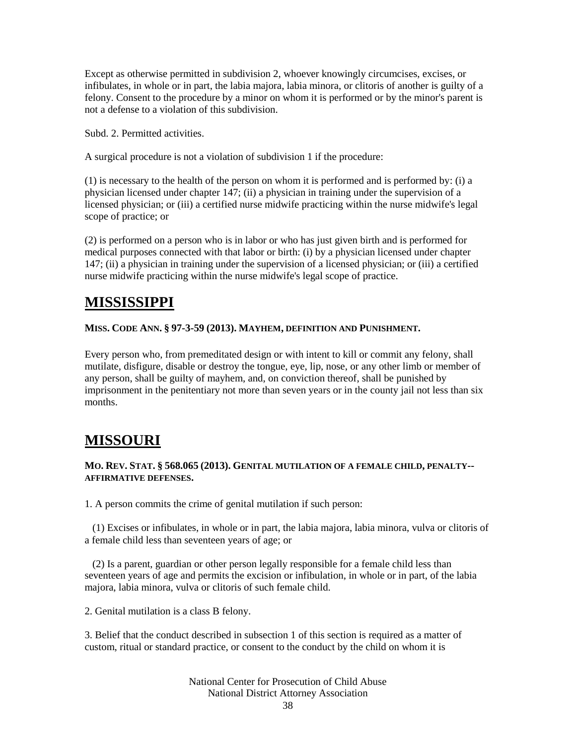Except as otherwise permitted in subdivision 2, whoever knowingly circumcises, excises, or infibulates, in whole or in part, the labia majora, labia minora, or clitoris of another is guilty of a felony. Consent to the procedure by a minor on whom it is performed or by the minor's parent is not a defense to a violation of this subdivision.

Subd. 2. Permitted activities.

A surgical procedure is not a violation of subdivision 1 if the procedure:

(1) is necessary to the health of the person on whom it is performed and is performed by: (i) a physician licensed under chapter 147; (ii) a physician in training under the supervision of a licensed physician; or (iii) a certified nurse midwife practicing within the nurse midwife's legal scope of practice; or

(2) is performed on a person who is in labor or who has just given birth and is performed for medical purposes connected with that labor or birth: (i) by a physician licensed under chapter 147; (ii) a physician in training under the supervision of a licensed physician; or (iii) a certified nurse midwife practicing within the nurse midwife's legal scope of practice.

### **MISSISSIPPI**

**MISS. CODE ANN. § 97-3-59 (2013). MAYHEM, DEFINITION AND PUNISHMENT.**

Every person who, from premeditated design or with intent to kill or commit any felony, shall mutilate, disfigure, disable or destroy the tongue, eye, lip, nose, or any other limb or member of any person, shall be guilty of mayhem, and, on conviction thereof, shall be punished by imprisonment in the penitentiary not more than seven years or in the county jail not less than six months.

# **MISSOURI**

### **MO. REV. STAT. § 568.065 (2013). GENITAL MUTILATION OF A FEMALE CHILD, PENALTY-- AFFIRMATIVE DEFENSES.**

1. A person commits the crime of genital mutilation if such person:

 (1) Excises or infibulates, in whole or in part, the labia majora, labia minora, vulva or clitoris of a female child less than seventeen years of age; or

 (2) Is a parent, guardian or other person legally responsible for a female child less than seventeen years of age and permits the excision or infibulation, in whole or in part, of the labia majora, labia minora, vulva or clitoris of such female child.

2. Genital mutilation is a class B felony.

3. Belief that the conduct described in subsection 1 of this section is required as a matter of custom, ritual or standard practice, or consent to the conduct by the child on whom it is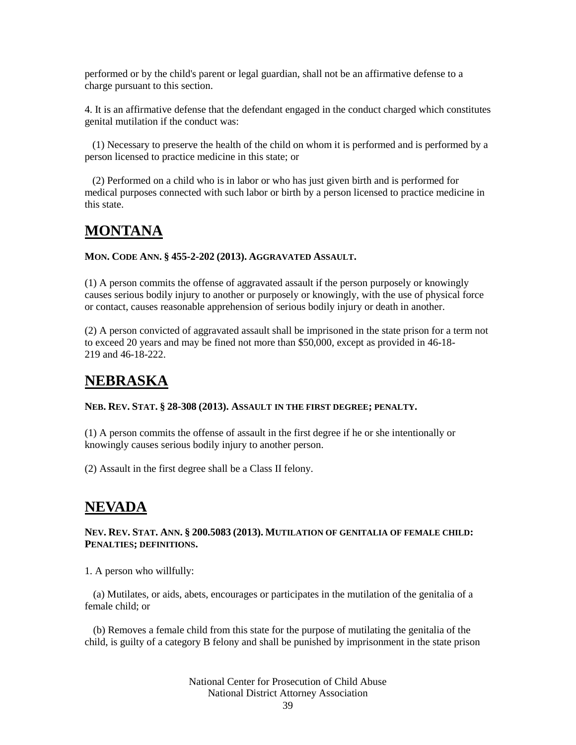performed or by the child's parent or legal guardian, shall not be an affirmative defense to a charge pursuant to this section.

4. It is an affirmative defense that the defendant engaged in the conduct charged which constitutes genital mutilation if the conduct was:

 (1) Necessary to preserve the health of the child on whom it is performed and is performed by a person licensed to practice medicine in this state; or

 (2) Performed on a child who is in labor or who has just given birth and is performed for medical purposes connected with such labor or birth by a person licensed to practice medicine in this state.

# **MONTANA**

### **MON. CODE ANN. § 455-2-202 (2013). AGGRAVATED ASSAULT.**

(1) A person commits the offense of aggravated assault if the person purposely or knowingly causes serious bodily injury to another or purposely or knowingly, with the use of physical force or contact, causes reasonable apprehension of serious bodily injury or death in another.

(2) A person convicted of aggravated assault shall be imprisoned in the state prison for a term not to exceed 20 years and may be fined not more than \$50,000, except as provided in 46-18- 219 and 46-18-222.

### **NEBRASKA**

#### **NEB. REV. STAT. § 28-308 (2013). ASSAULT IN THE FIRST DEGREE; PENALTY.**

(1) A person commits the offense of assault in the first degree if he or she intentionally or knowingly causes serious bodily injury to another person.

(2) Assault in the first degree shall be a Class II felony.

### **NEVADA**

**NEV. REV. STAT. ANN. § 200.5083 (2013). MUTILATION OF GENITALIA OF FEMALE CHILD: PENALTIES; DEFINITIONS.**

1. A person who willfully:

(a) Mutilates, or aids, abets, encourages or participates in the mutilation of the genitalia of a female child; or

(b) Removes a female child from this state for the purpose of mutilating the genitalia of the child, is guilty of a category B felony and shall be punished by imprisonment in the state prison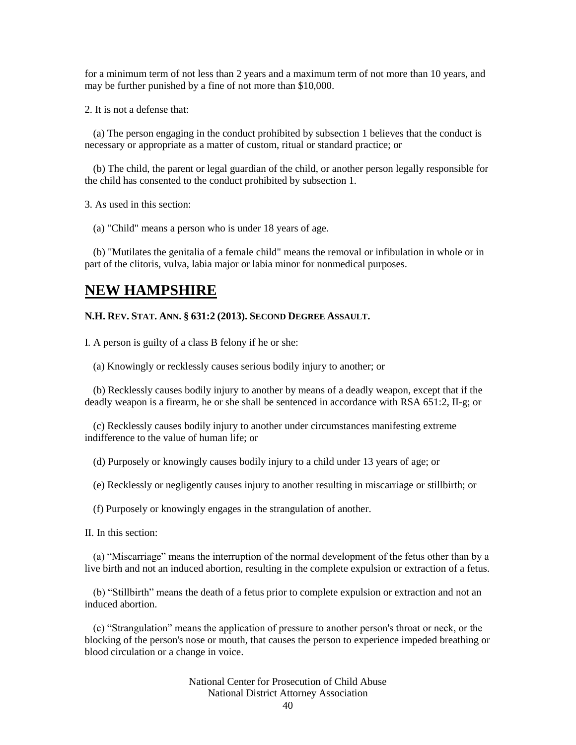for a minimum term of not less than 2 years and a maximum term of not more than 10 years, and may be further punished by a fine of not more than \$10,000.

2. It is not a defense that:

(a) The person engaging in the conduct prohibited by subsection 1 believes that the conduct is necessary or appropriate as a matter of custom, ritual or standard practice; or

(b) The child, the parent or legal guardian of the child, or another person legally responsible for the child has consented to the conduct prohibited by subsection 1.

3. As used in this section:

(a) "Child" means a person who is under 18 years of age.

(b) "Mutilates the genitalia of a female child" means the removal or infibulation in whole or in part of the clitoris, vulva, labia major or labia minor for nonmedical purposes.

### **NEW HAMPSHIRE**

#### **N.H. REV. STAT. ANN. § 631:2 (2013). SECOND DEGREE ASSAULT.**

I. A person is guilty of a class B felony if he or she:

(a) Knowingly or recklessly causes serious bodily injury to another; or

(b) Recklessly causes bodily injury to another by means of a deadly weapon, except that if the deadly weapon is a firearm, he or she shall be sentenced in accordance with RSA 651:2, II-g; or

(c) Recklessly causes bodily injury to another under circumstances manifesting extreme indifference to the value of human life; or

(d) Purposely or knowingly causes bodily injury to a child under 13 years of age; or

(e) Recklessly or negligently causes injury to another resulting in miscarriage or stillbirth; or

(f) Purposely or knowingly engages in the strangulation of another.

II. In this section:

(a) "Miscarriage" means the interruption of the normal development of the fetus other than by a live birth and not an induced abortion, resulting in the complete expulsion or extraction of a fetus.

(b) "Stillbirth" means the death of a fetus prior to complete expulsion or extraction and not an induced abortion.

(c) "Strangulation" means the application of pressure to another person's throat or neck, or the blocking of the person's nose or mouth, that causes the person to experience impeded breathing or blood circulation or a change in voice.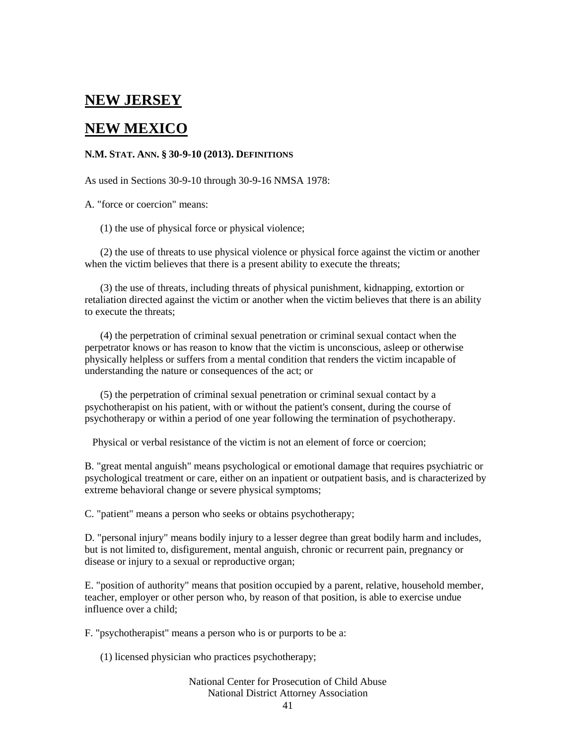### **NEW JERSEY**

### **NEW MEXICO**

#### **N.M. STAT. ANN. § 30-9-10 (2013). DEFINITIONS**

As used in Sections 30-9-10 through 30-9-16 NMSA 1978:

A. "force or coercion" means:

(1) the use of physical force or physical violence;

 (2) the use of threats to use physical violence or physical force against the victim or another when the victim believes that there is a present ability to execute the threats;

 (3) the use of threats, including threats of physical punishment, kidnapping, extortion or retaliation directed against the victim or another when the victim believes that there is an ability to execute the threats;

 (4) the perpetration of criminal sexual penetration or criminal sexual contact when the perpetrator knows or has reason to know that the victim is unconscious, asleep or otherwise physically helpless or suffers from a mental condition that renders the victim incapable of understanding the nature or consequences of the act; or

 (5) the perpetration of criminal sexual penetration or criminal sexual contact by a psychotherapist on his patient, with or without the patient's consent, during the course of psychotherapy or within a period of one year following the termination of psychotherapy.

Physical or verbal resistance of the victim is not an element of force or coercion;

B. "great mental anguish" means psychological or emotional damage that requires psychiatric or psychological treatment or care, either on an inpatient or outpatient basis, and is characterized by extreme behavioral change or severe physical symptoms;

C. "patient" means a person who seeks or obtains psychotherapy;

D. "personal injury" means bodily injury to a lesser degree than great bodily harm and includes, but is not limited to, disfigurement, mental anguish, chronic or recurrent pain, pregnancy or disease or injury to a sexual or reproductive organ;

E. "position of authority" means that position occupied by a parent, relative, household member, teacher, employer or other person who, by reason of that position, is able to exercise undue influence over a child;

F. "psychotherapist" means a person who is or purports to be a:

(1) licensed physician who practices psychotherapy;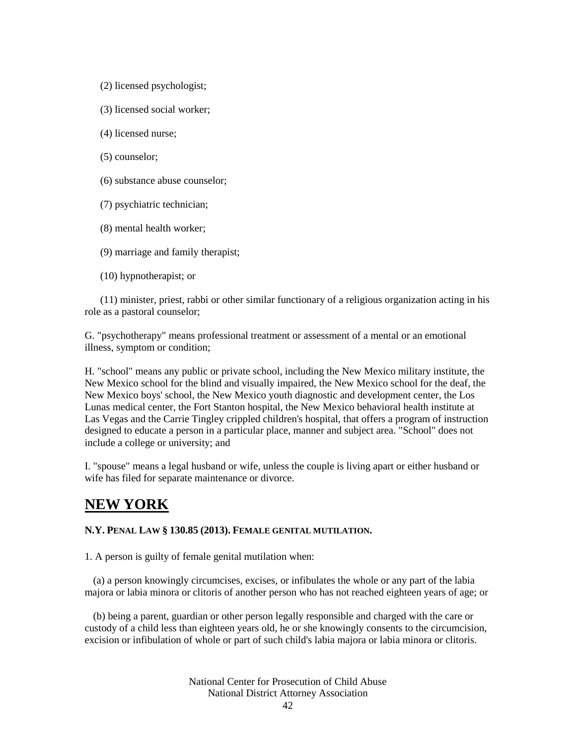- (2) licensed psychologist;
- (3) licensed social worker;
- (4) licensed nurse;
- (5) counselor;
- (6) substance abuse counselor;
- (7) psychiatric technician;
- (8) mental health worker;
- (9) marriage and family therapist;
- (10) hypnotherapist; or

 (11) minister, priest, rabbi or other similar functionary of a religious organization acting in his role as a pastoral counselor;

G. "psychotherapy" means professional treatment or assessment of a mental or an emotional illness, symptom or condition;

H. "school" means any public or private school, including the New Mexico military institute, the New Mexico school for the blind and visually impaired, the New Mexico school for the deaf, the New Mexico boys' school, the New Mexico youth diagnostic and development center, the Los Lunas medical center, the Fort Stanton hospital, the New Mexico behavioral health institute at Las Vegas and the Carrie Tingley crippled children's hospital, that offers a program of instruction designed to educate a person in a particular place, manner and subject area. "School" does not include a college or university; and

I. "spouse" means a legal husband or wife, unless the couple is living apart or either husband or wife has filed for separate maintenance or divorce.

### **NEW YORK**

#### **N.Y. PENAL LAW § 130.85 (2013). FEMALE GENITAL MUTILATION.**

1. A person is guilty of female genital mutilation when:

(a) a person knowingly circumcises, excises, or infibulates the whole or any part of the labia majora or labia minora or clitoris of another person who has not reached eighteen years of age; or

(b) being a parent, guardian or other person legally responsible and charged with the care or custody of a child less than eighteen years old, he or she knowingly consents to the circumcision, excision or infibulation of whole or part of such child's labia majora or labia minora or clitoris.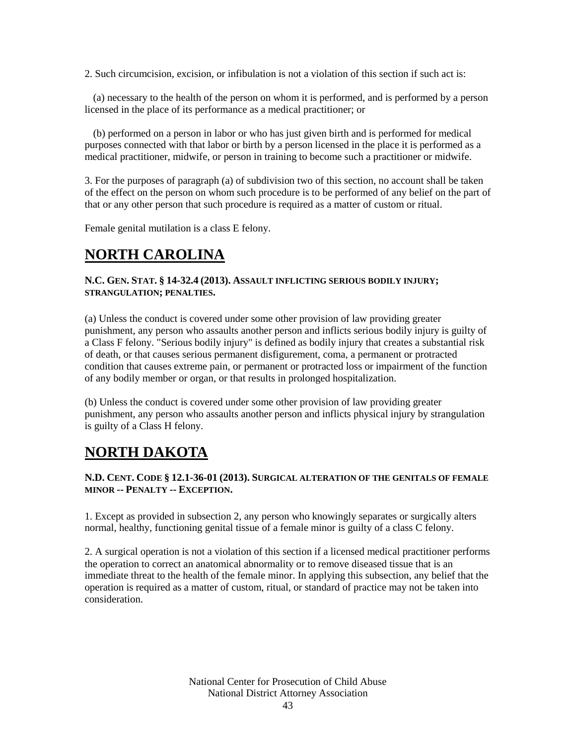2. Such circumcision, excision, or infibulation is not a violation of this section if such act is:

(a) necessary to the health of the person on whom it is performed, and is performed by a person licensed in the place of its performance as a medical practitioner; or

(b) performed on a person in labor or who has just given birth and is performed for medical purposes connected with that labor or birth by a person licensed in the place it is performed as a medical practitioner, midwife, or person in training to become such a practitioner or midwife.

3. For the purposes of paragraph (a) of subdivision two of this section, no account shall be taken of the effect on the person on whom such procedure is to be performed of any belief on the part of that or any other person that such procedure is required as a matter of custom or ritual.

Female genital mutilation is a class E felony.

# **NORTH CAROLINA**

### **N.C. GEN. STAT. § 14-32.4 (2013). ASSAULT INFLICTING SERIOUS BODILY INJURY; STRANGULATION; PENALTIES.**

(a) Unless the conduct is covered under some other provision of law providing greater punishment, any person who assaults another person and inflicts serious bodily injury is guilty of a Class F felony. "Serious bodily injury" is defined as bodily injury that creates a substantial risk of death, or that causes serious permanent disfigurement, coma, a permanent or protracted condition that causes extreme pain, or permanent or protracted loss or impairment of the function of any bodily member or organ, or that results in prolonged hospitalization.

(b) Unless the conduct is covered under some other provision of law providing greater punishment, any person who assaults another person and inflicts physical injury by strangulation is guilty of a Class H felony.

# **NORTH DAKOTA**

### **N.D. CENT. CODE § 12.1-36-01 (2013). SURGICAL ALTERATION OF THE GENITALS OF FEMALE MINOR -- PENALTY -- EXCEPTION.**

1. Except as provided in subsection 2, any person who knowingly separates or surgically alters normal, healthy, functioning genital tissue of a female minor is guilty of a class C felony.

2. A surgical operation is not a violation of this section if a licensed medical practitioner performs the operation to correct an anatomical abnormality or to remove diseased tissue that is an immediate threat to the health of the female minor. In applying this subsection, any belief that the operation is required as a matter of custom, ritual, or standard of practice may not be taken into consideration.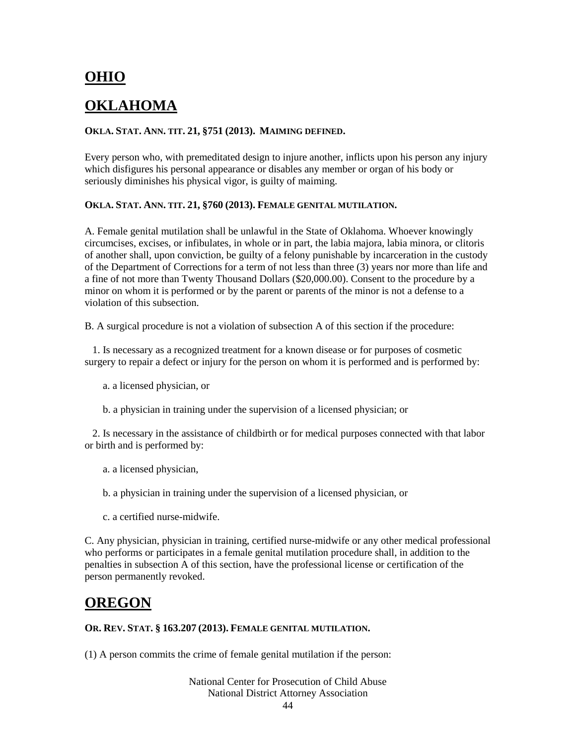# **OHIO**

### **OKLAHOMA**

### **OKLA. STAT. ANN. TIT. 21, §751 (2013). MAIMING DEFINED.**

Every person who, with premeditated design to injure another, inflicts upon his person any injury which disfigures his personal appearance or disables any member or organ of his body or seriously diminishes his physical vigor, is guilty of maiming.

#### **OKLA. STAT. ANN. TIT. 21, §760 (2013). FEMALE GENITAL MUTILATION.**

A. Female genital mutilation shall be unlawful in the State of Oklahoma. Whoever knowingly circumcises, excises, or infibulates, in whole or in part, the labia majora, labia minora, or clitoris of another shall, upon conviction, be guilty of a felony punishable by incarceration in the custody of the Department of Corrections for a term of not less than three (3) years nor more than life and a fine of not more than Twenty Thousand Dollars (\$20,000.00). Consent to the procedure by a minor on whom it is performed or by the parent or parents of the minor is not a defense to a violation of this subsection.

B. A surgical procedure is not a violation of subsection A of this section if the procedure:

 1. Is necessary as a recognized treatment for a known disease or for purposes of cosmetic surgery to repair a defect or injury for the person on whom it is performed and is performed by:

- a. a licensed physician, or
- b. a physician in training under the supervision of a licensed physician; or

 2. Is necessary in the assistance of childbirth or for medical purposes connected with that labor or birth and is performed by:

- a. a licensed physician,
- b. a physician in training under the supervision of a licensed physician, or
- c. a certified nurse-midwife.

C. Any physician, physician in training, certified nurse-midwife or any other medical professional who performs or participates in a female genital mutilation procedure shall, in addition to the penalties in subsection A of this section, have the professional license or certification of the person permanently revoked.

### **OREGON**

#### **OR. REV. STAT. § 163.207 (2013). FEMALE GENITAL MUTILATION.**

(1) A person commits the crime of female genital mutilation if the person: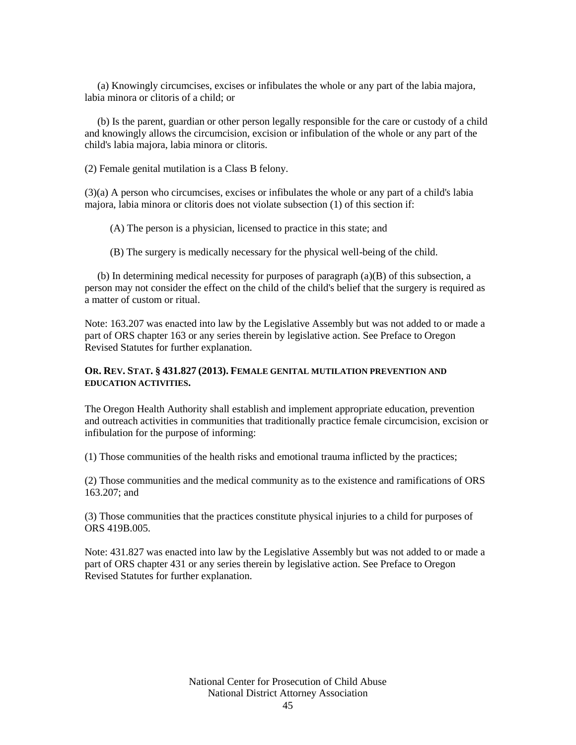(a) Knowingly circumcises, excises or infibulates the whole or any part of the labia majora, labia minora or clitoris of a child; or

(b) Is the parent, guardian or other person legally responsible for the care or custody of a child and knowingly allows the circumcision, excision or infibulation of the whole or any part of the child's labia majora, labia minora or clitoris.

(2) Female genital mutilation is a Class B felony.

(3)(a) A person who circumcises, excises or infibulates the whole or any part of a child's labia majora, labia minora or clitoris does not violate subsection (1) of this section if:

(A) The person is a physician, licensed to practice in this state; and

(B) The surgery is medically necessary for the physical well-being of the child.

(b) In determining medical necessity for purposes of paragraph  $(a)(B)$  of this subsection, a person may not consider the effect on the child of the child's belief that the surgery is required as a matter of custom or ritual.

Note: 163.207 was enacted into law by the Legislative Assembly but was not added to or made a part of ORS chapter 163 or any series therein by legislative action. See Preface to Oregon Revised Statutes for further explanation.

#### **OR. REV. STAT. § 431.827 (2013). FEMALE GENITAL MUTILATION PREVENTION AND EDUCATION ACTIVITIES.**

The Oregon Health Authority shall establish and implement appropriate education, prevention and outreach activities in communities that traditionally practice female circumcision, excision or infibulation for the purpose of informing:

(1) Those communities of the health risks and emotional trauma inflicted by the practices;

(2) Those communities and the medical community as to the existence and ramifications of ORS 163.207; and

(3) Those communities that the practices constitute physical injuries to a child for purposes of ORS 419B.005.

Note: 431.827 was enacted into law by the Legislative Assembly but was not added to or made a part of ORS chapter 431 or any series therein by legislative action. See Preface to Oregon Revised Statutes for further explanation.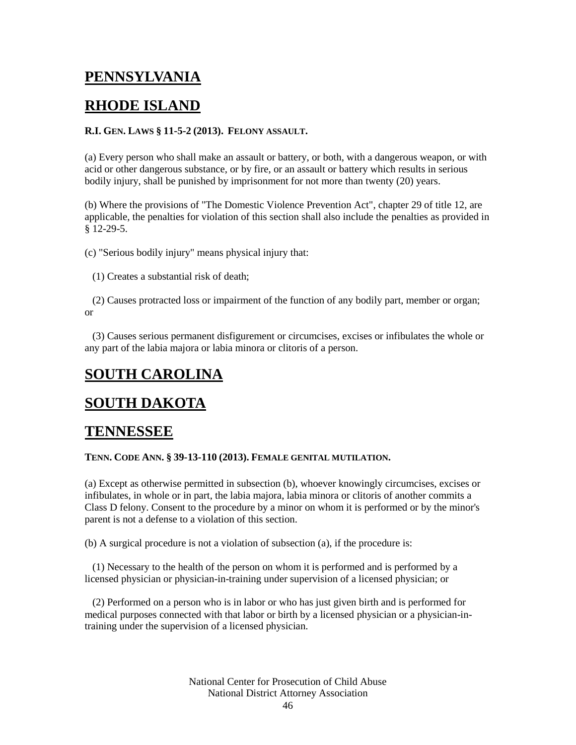### **PENNSYLVANIA**

### **RHODE ISLAND**

### **R.I. GEN. LAWS § 11-5-2 (2013). FELONY ASSAULT.**

(a) Every person who shall make an assault or battery, or both, with a dangerous weapon, or with acid or other dangerous substance, or by fire, or an assault or battery which results in serious bodily injury, shall be punished by imprisonment for not more than twenty (20) years.

(b) Where the provisions of "The Domestic Violence Prevention Act", chapter 29 of title 12, are applicable, the penalties for violation of this section shall also include the penalties as provided in § 12-29-5.

(c) "Serious bodily injury" means physical injury that:

(1) Creates a substantial risk of death;

 (2) Causes protracted loss or impairment of the function of any bodily part, member or organ; or

 (3) Causes serious permanent disfigurement or circumcises, excises or infibulates the whole or any part of the labia majora or labia minora or clitoris of a person.

### **SOUTH CAROLINA**

### **SOUTH DAKOTA**

### **TENNESSEE**

#### **TENN. CODE ANN. § 39-13-110 (2013). FEMALE GENITAL MUTILATION.**

(a) Except as otherwise permitted in subsection (b), whoever knowingly circumcises, excises or infibulates, in whole or in part, the labia majora, labia minora or clitoris of another commits a Class D felony. Consent to the procedure by a minor on whom it is performed or by the minor's parent is not a defense to a violation of this section.

(b) A surgical procedure is not a violation of subsection (a), if the procedure is:

 (1) Necessary to the health of the person on whom it is performed and is performed by a licensed physician or physician-in-training under supervision of a licensed physician; or

 (2) Performed on a person who is in labor or who has just given birth and is performed for medical purposes connected with that labor or birth by a licensed physician or a physician-intraining under the supervision of a licensed physician.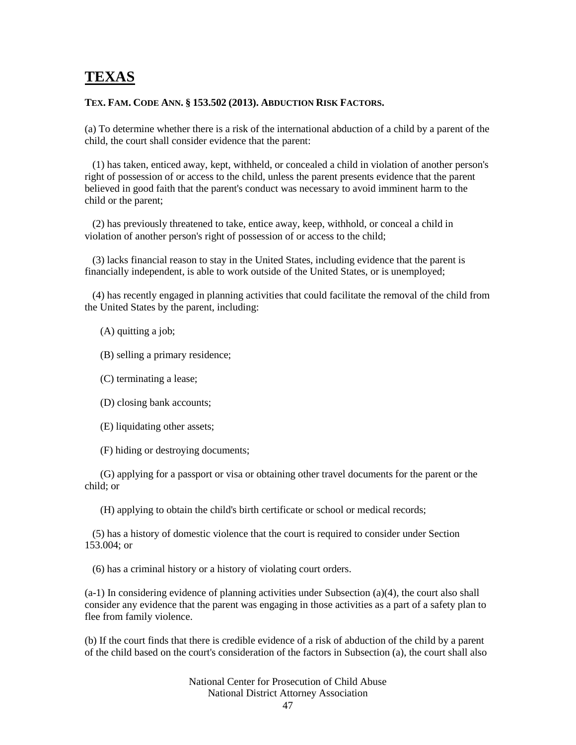### **TEXAS**

#### **TEX. FAM. CODE ANN. § 153.502 (2013). ABDUCTION RISK FACTORS.**

(a) To determine whether there is a risk of the international abduction of a child by a parent of the child, the court shall consider evidence that the parent:

 (1) has taken, enticed away, kept, withheld, or concealed a child in violation of another person's right of possession of or access to the child, unless the parent presents evidence that the parent believed in good faith that the parent's conduct was necessary to avoid imminent harm to the child or the parent;

 (2) has previously threatened to take, entice away, keep, withhold, or conceal a child in violation of another person's right of possession of or access to the child;

 (3) lacks financial reason to stay in the United States, including evidence that the parent is financially independent, is able to work outside of the United States, or is unemployed;

 (4) has recently engaged in planning activities that could facilitate the removal of the child from the United States by the parent, including:

(A) quitting a job;

(B) selling a primary residence;

(C) terminating a lease;

(D) closing bank accounts;

(E) liquidating other assets;

(F) hiding or destroying documents;

 (G) applying for a passport or visa or obtaining other travel documents for the parent or the child; or

(H) applying to obtain the child's birth certificate or school or medical records;

 (5) has a history of domestic violence that the court is required to consider under Section 153.004; or

(6) has a criminal history or a history of violating court orders.

(a-1) In considering evidence of planning activities under Subsection (a)(4), the court also shall consider any evidence that the parent was engaging in those activities as a part of a safety plan to flee from family violence.

(b) If the court finds that there is credible evidence of a risk of abduction of the child by a parent of the child based on the court's consideration of the factors in Subsection (a), the court shall also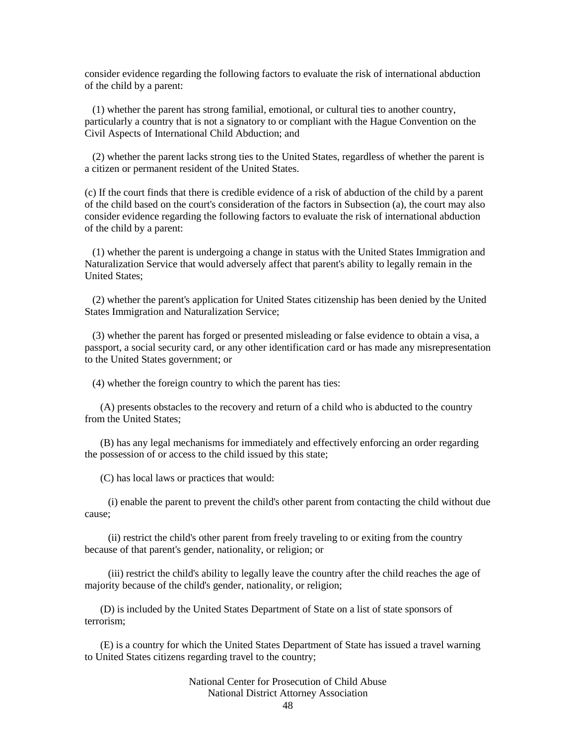consider evidence regarding the following factors to evaluate the risk of international abduction of the child by a parent:

 (1) whether the parent has strong familial, emotional, or cultural ties to another country, particularly a country that is not a signatory to or compliant with the Hague Convention on the Civil Aspects of International Child Abduction; and

 (2) whether the parent lacks strong ties to the United States, regardless of whether the parent is a citizen or permanent resident of the United States.

(c) If the court finds that there is credible evidence of a risk of abduction of the child by a parent of the child based on the court's consideration of the factors in Subsection (a), the court may also consider evidence regarding the following factors to evaluate the risk of international abduction of the child by a parent:

 (1) whether the parent is undergoing a change in status with the United States Immigration and Naturalization Service that would adversely affect that parent's ability to legally remain in the United States;

 (2) whether the parent's application for United States citizenship has been denied by the United States Immigration and Naturalization Service;

 (3) whether the parent has forged or presented misleading or false evidence to obtain a visa, a passport, a social security card, or any other identification card or has made any misrepresentation to the United States government; or

(4) whether the foreign country to which the parent has ties:

 (A) presents obstacles to the recovery and return of a child who is abducted to the country from the United States;

 (B) has any legal mechanisms for immediately and effectively enforcing an order regarding the possession of or access to the child issued by this state;

(C) has local laws or practices that would:

 (i) enable the parent to prevent the child's other parent from contacting the child without due cause;

 (ii) restrict the child's other parent from freely traveling to or exiting from the country because of that parent's gender, nationality, or religion; or

 (iii) restrict the child's ability to legally leave the country after the child reaches the age of majority because of the child's gender, nationality, or religion;

 (D) is included by the United States Department of State on a list of state sponsors of terrorism;

 (E) is a country for which the United States Department of State has issued a travel warning to United States citizens regarding travel to the country;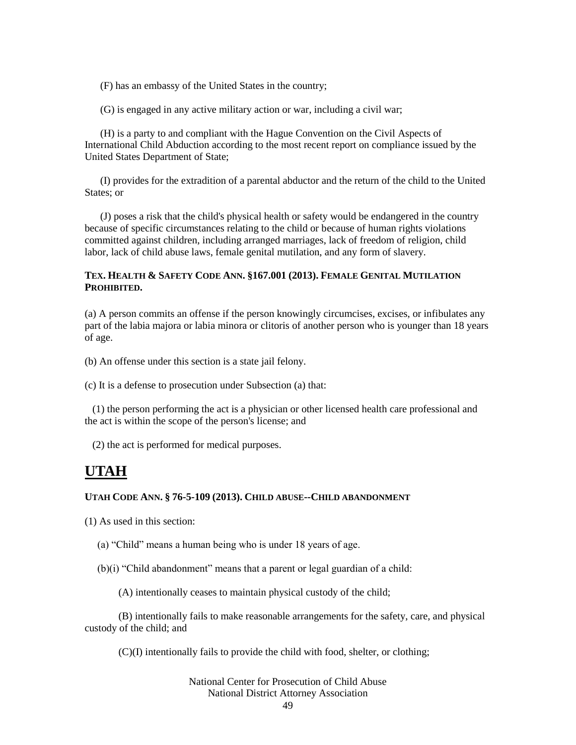(F) has an embassy of the United States in the country;

(G) is engaged in any active military action or war, including a civil war;

 (H) is a party to and compliant with the Hague Convention on the Civil Aspects of International Child Abduction according to the most recent report on compliance issued by the United States Department of State;

 (I) provides for the extradition of a parental abductor and the return of the child to the United States; or

 (J) poses a risk that the child's physical health or safety would be endangered in the country because of specific circumstances relating to the child or because of human rights violations committed against children, including arranged marriages, lack of freedom of religion, child labor, lack of child abuse laws, female genital mutilation, and any form of slavery.

#### **TEX. HEALTH & SAFETY CODE ANN. §167.001 (2013). FEMALE GENITAL MUTILATION PROHIBITED.**

(a) A person commits an offense if the person knowingly circumcises, excises, or infibulates any part of the labia majora or labia minora or clitoris of another person who is younger than 18 years of age.

(b) An offense under this section is a state jail felony.

(c) It is a defense to prosecution under Subsection (a) that:

 (1) the person performing the act is a physician or other licensed health care professional and the act is within the scope of the person's license; and

(2) the act is performed for medical purposes.

### **UTAH**

#### **UTAH CODE ANN. § 76-5-109 (2013). CHILD ABUSE--CHILD ABANDONMENT**

(1) As used in this section:

(a) "Child" means a human being who is under 18 years of age.

(b)(i) "Child abandonment" means that a parent or legal guardian of a child:

(A) intentionally ceases to maintain physical custody of the child;

(B) intentionally fails to make reasonable arrangements for the safety, care, and physical custody of the child; and

(C)(I) intentionally fails to provide the child with food, shelter, or clothing;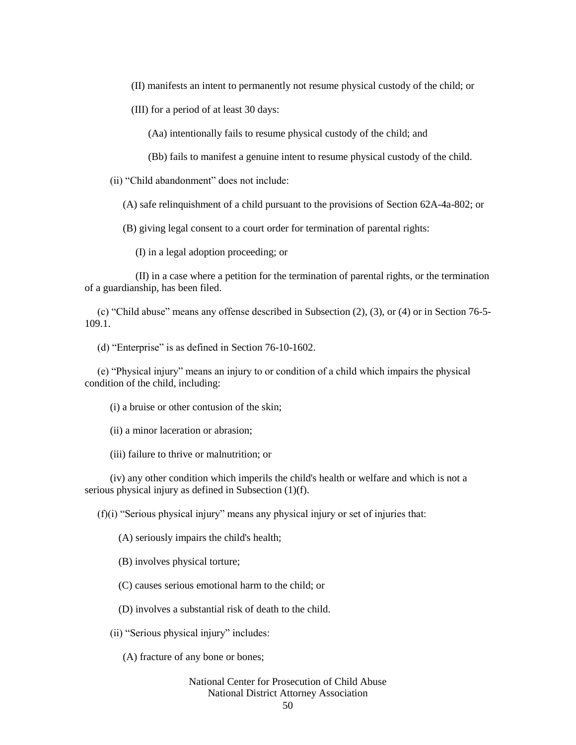(II) manifests an intent to permanently not resume physical custody of the child; or

(III) for a period of at least 30 days:

(Aa) intentionally fails to resume physical custody of the child; and

(Bb) fails to manifest a genuine intent to resume physical custody of the child.

(ii) "Child abandonment" does not include:

(A) safe relinquishment of a child pursuant to the provisions of Section 62A-4a-802; or

(B) giving legal consent to a court order for termination of parental rights:

(I) in a legal adoption proceeding; or

(II) in a case where a petition for the termination of parental rights, or the termination of a guardianship, has been filed.

(c) "Child abuse" means any offense described in Subsection (2), (3), or (4) or in Section 76-5- 109.1.

(d) "Enterprise" is as defined in Section 76-10-1602.

(e) "Physical injury" means an injury to or condition of a child which impairs the physical condition of the child, including:

(i) a bruise or other contusion of the skin;

(ii) a minor laceration or abrasion;

(iii) failure to thrive or malnutrition; or

(iv) any other condition which imperils the child's health or welfare and which is not a serious physical injury as defined in Subsection (1)(f).

 $(f)(i)$  "Serious physical injury" means any physical injury or set of injuries that:

(A) seriously impairs the child's health;

(B) involves physical torture;

(C) causes serious emotional harm to the child; or

(D) involves a substantial risk of death to the child.

(ii) "Serious physical injury" includes:

(A) fracture of any bone or bones;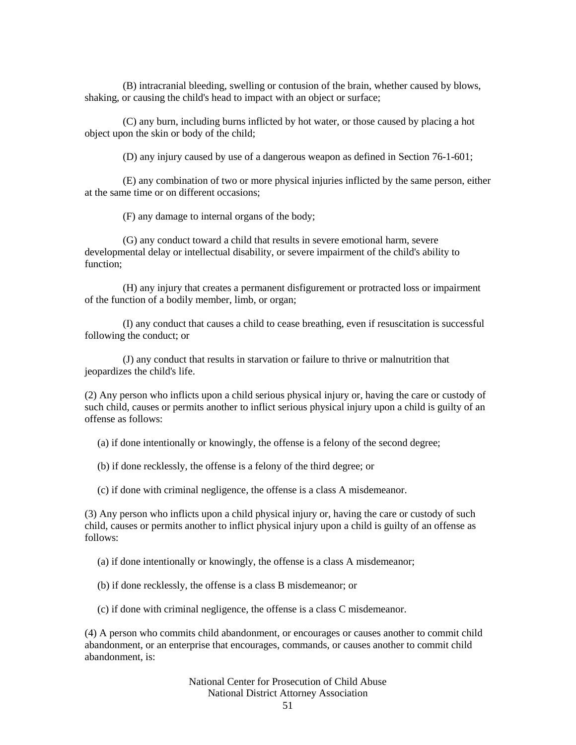(B) intracranial bleeding, swelling or contusion of the brain, whether caused by blows, shaking, or causing the child's head to impact with an object or surface;

(C) any burn, including burns inflicted by hot water, or those caused by placing a hot object upon the skin or body of the child;

(D) any injury caused by use of a dangerous weapon as defined in Section 76-1-601;

(E) any combination of two or more physical injuries inflicted by the same person, either at the same time or on different occasions;

(F) any damage to internal organs of the body;

(G) any conduct toward a child that results in severe emotional harm, severe developmental delay or intellectual disability, or severe impairment of the child's ability to function;

(H) any injury that creates a permanent disfigurement or protracted loss or impairment of the function of a bodily member, limb, or organ;

(I) any conduct that causes a child to cease breathing, even if resuscitation is successful following the conduct; or

(J) any conduct that results in starvation or failure to thrive or malnutrition that jeopardizes the child's life.

(2) Any person who inflicts upon a child serious physical injury or, having the care or custody of such child, causes or permits another to inflict serious physical injury upon a child is guilty of an offense as follows:

(a) if done intentionally or knowingly, the offense is a felony of the second degree;

(b) if done recklessly, the offense is a felony of the third degree; or

(c) if done with criminal negligence, the offense is a class A misdemeanor.

(3) Any person who inflicts upon a child physical injury or, having the care or custody of such child, causes or permits another to inflict physical injury upon a child is guilty of an offense as follows:

(a) if done intentionally or knowingly, the offense is a class A misdemeanor;

(b) if done recklessly, the offense is a class B misdemeanor; or

(c) if done with criminal negligence, the offense is a class C misdemeanor.

(4) A person who commits child abandonment, or encourages or causes another to commit child abandonment, or an enterprise that encourages, commands, or causes another to commit child abandonment, is: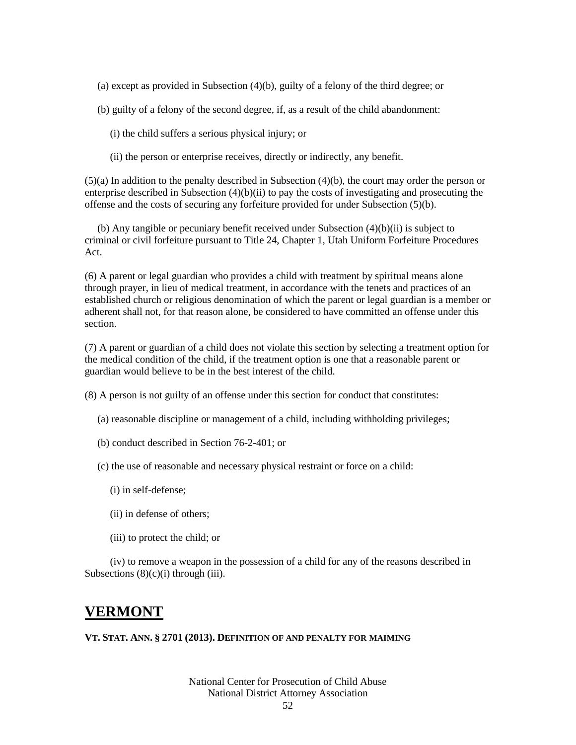(a) except as provided in Subsection (4)(b), guilty of a felony of the third degree; or

(b) guilty of a felony of the second degree, if, as a result of the child abandonment:

(i) the child suffers a serious physical injury; or

(ii) the person or enterprise receives, directly or indirectly, any benefit.

(5)(a) In addition to the penalty described in Subsection (4)(b), the court may order the person or enterprise described in Subsection (4)(b)(ii) to pay the costs of investigating and prosecuting the offense and the costs of securing any forfeiture provided for under Subsection (5)(b).

(b) Any tangible or pecuniary benefit received under Subsection  $(4)(b)(ii)$  is subject to criminal or civil forfeiture pursuant to Title 24, Chapter 1, Utah Uniform Forfeiture Procedures Act.

(6) A parent or legal guardian who provides a child with treatment by spiritual means alone through prayer, in lieu of medical treatment, in accordance with the tenets and practices of an established church or religious denomination of which the parent or legal guardian is a member or adherent shall not, for that reason alone, be considered to have committed an offense under this section.

(7) A parent or guardian of a child does not violate this section by selecting a treatment option for the medical condition of the child, if the treatment option is one that a reasonable parent or guardian would believe to be in the best interest of the child.

(8) A person is not guilty of an offense under this section for conduct that constitutes:

- (a) reasonable discipline or management of a child, including withholding privileges;
- (b) conduct described in Section 76-2-401; or

(c) the use of reasonable and necessary physical restraint or force on a child:

- (i) in self-defense;
- (ii) in defense of others;
- (iii) to protect the child; or

(iv) to remove a weapon in the possession of a child for any of the reasons described in Subsections  $(8)(c)(i)$  through (iii).

### **VERMONT**

**VT. STAT. ANN. § 2701 (2013). DEFINITION OF AND PENALTY FOR MAIMING**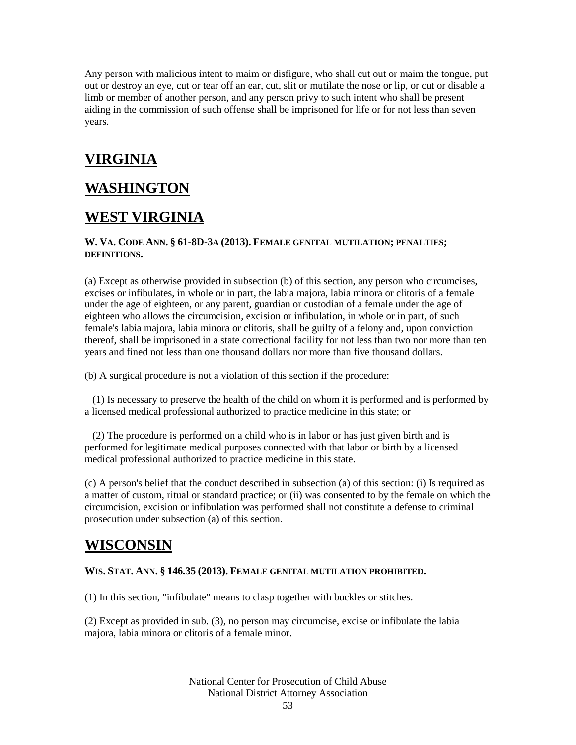Any person with malicious intent to maim or disfigure, who shall cut out or maim the tongue, put out or destroy an eye, cut or tear off an ear, cut, slit or mutilate the nose or lip, or cut or disable a limb or member of another person, and any person privy to such intent who shall be present aiding in the commission of such offense shall be imprisoned for life or for not less than seven years.

## **VIRGINIA**

### **WASHINGTON**

# **WEST VIRGINIA**

#### **W. VA. CODE ANN. § 61-8D-3A (2013). FEMALE GENITAL MUTILATION; PENALTIES; DEFINITIONS.**

(a) Except as otherwise provided in subsection (b) of this section, any person who circumcises, excises or infibulates, in whole or in part, the labia majora, labia minora or clitoris of a female under the age of eighteen, or any parent, guardian or custodian of a female under the age of eighteen who allows the circumcision, excision or infibulation, in whole or in part, of such female's labia majora, labia minora or clitoris, shall be guilty of a felony and, upon conviction thereof, shall be imprisoned in a state correctional facility for not less than two nor more than ten years and fined not less than one thousand dollars nor more than five thousand dollars.

(b) A surgical procedure is not a violation of this section if the procedure:

 (1) Is necessary to preserve the health of the child on whom it is performed and is performed by a licensed medical professional authorized to practice medicine in this state; or

 (2) The procedure is performed on a child who is in labor or has just given birth and is performed for legitimate medical purposes connected with that labor or birth by a licensed medical professional authorized to practice medicine in this state.

(c) A person's belief that the conduct described in subsection (a) of this section: (i) Is required as a matter of custom, ritual or standard practice; or (ii) was consented to by the female on which the circumcision, excision or infibulation was performed shall not constitute a defense to criminal prosecution under subsection (a) of this section.

# **WISCONSIN**

### **WIS. STAT. ANN. § 146.35 (2013). FEMALE GENITAL MUTILATION PROHIBITED.**

(1) In this section, "infibulate" means to clasp together with buckles or stitches.

(2) Except as provided in sub. (3), no person may circumcise, excise or infibulate the labia majora, labia minora or clitoris of a female minor.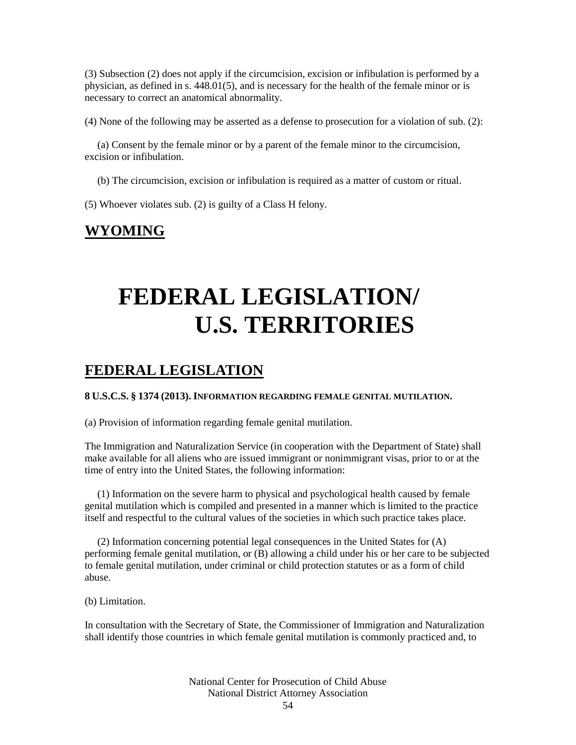(3) Subsection (2) does not apply if the circumcision, excision or infibulation is performed by a physician, as defined in s. 448.01(5), and is necessary for the health of the female minor or is necessary to correct an anatomical abnormality.

(4) None of the following may be asserted as a defense to prosecution for a violation of sub. (2):

(a) Consent by the female minor or by a parent of the female minor to the circumcision, excision or infibulation.

(b) The circumcision, excision or infibulation is required as a matter of custom or ritual.

(5) Whoever violates sub. (2) is guilty of a Class H felony.

### **WYOMING**

# **FEDERAL LEGISLATION/ U.S. TERRITORIES**

### **FEDERAL LEGISLATION**

#### **8 U.S.C.S. § 1374 (2013). INFORMATION REGARDING FEMALE GENITAL MUTILATION.**

(a) Provision of information regarding female genital mutilation.

The Immigration and Naturalization Service (in cooperation with the Department of State) shall make available for all aliens who are issued immigrant or nonimmigrant visas, prior to or at the time of entry into the United States, the following information:

(1) Information on the severe harm to physical and psychological health caused by female genital mutilation which is compiled and presented in a manner which is limited to the practice itself and respectful to the cultural values of the societies in which such practice takes place.

(2) Information concerning potential legal consequences in the United States for (A) performing female genital mutilation, or (B) allowing a child under his or her care to be subjected to female genital mutilation, under criminal or child protection statutes or as a form of child abuse.

(b) Limitation.

In consultation with the Secretary of State, the Commissioner of Immigration and Naturalization shall identify those countries in which female genital mutilation is commonly practiced and, to